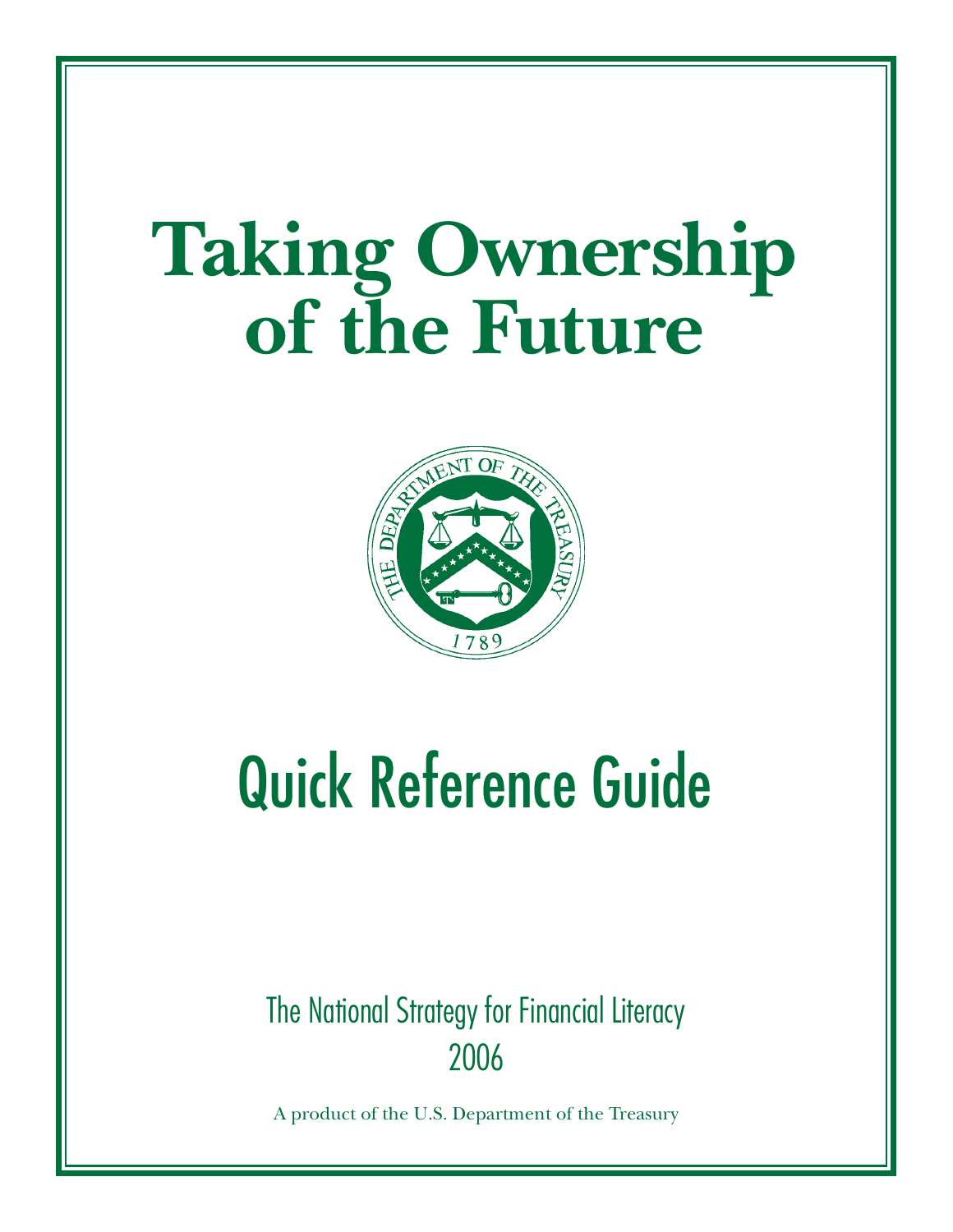## **Taking Ownership of the Future**



# Quick Reference Guide

2006 The National Strategy for Financial Literacy

A product of the U.S. Department of the Treasury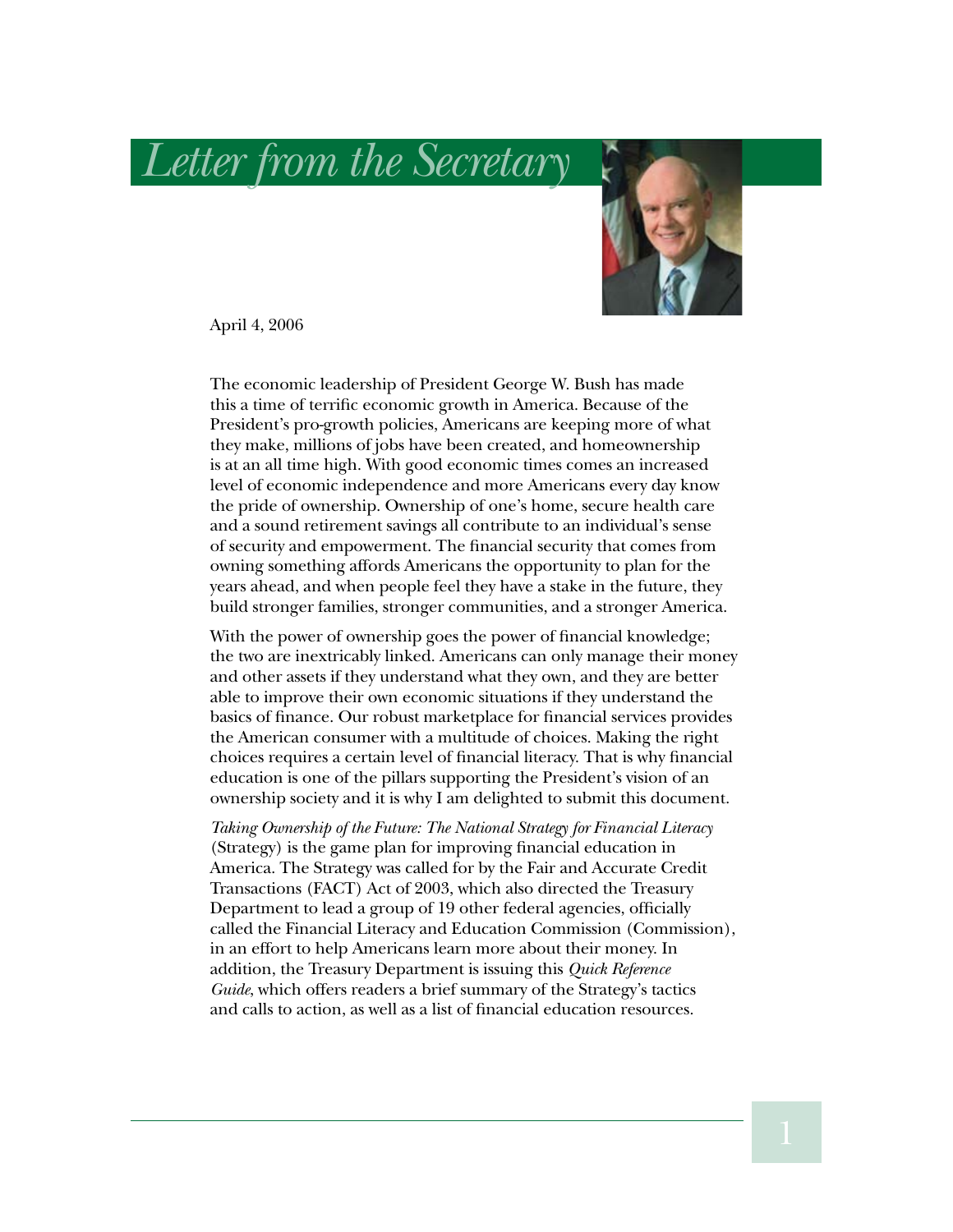*Letter from the Secretary*



April 4, 2006

The economic leadership of President George W. Bush has made this a time of terrific economic growth in America. Because of the President's pro-growth policies, Americans are keeping more of what they make, millions of jobs have been created, and homeownership is at an all time high. With good economic times comes an increased level of economic independence and more Americans every day know the pride of ownership. Ownership of one's home, secure health care and a sound retirement savings all contribute to an individual's sense of security and empowerment. The financial security that comes from owning something affords Americans the opportunity to plan for the years ahead, and when people feel they have a stake in the future, they build stronger families, stronger communities, and a stronger America.

With the power of ownership goes the power of financial knowledge; the two are inextricably linked. Americans can only manage their money and other assets if they understand what they own, and they are better able to improve their own economic situations if they understand the basics of finance. Our robust marketplace for financial services provides the American consumer with a multitude of choices. Making the right choices requires a certain level of financial literacy. That is why financial education is one of the pillars supporting the President's vision of an ownership society and it is why I am delighted to submit this document.

*Taking Ownership of the Future: The National Strategy for Financial Literacy* (Strategy) is the game plan for improving financial education in America. The Strategy was called for by the Fair and Accurate Credit Transactions (FACT) Act of 2003, which also directed the Treasury Department to lead a group of 19 other federal agencies, officially called the Financial Literacy and Education Commission (Commission), in an effort to help Americans learn more about their money. In addition, the Treasury Department is issuing this *Quick Reference Guide*, which offers readers a brief summary of the Strategy's tactics and calls to action, as well as a list of financial education resources.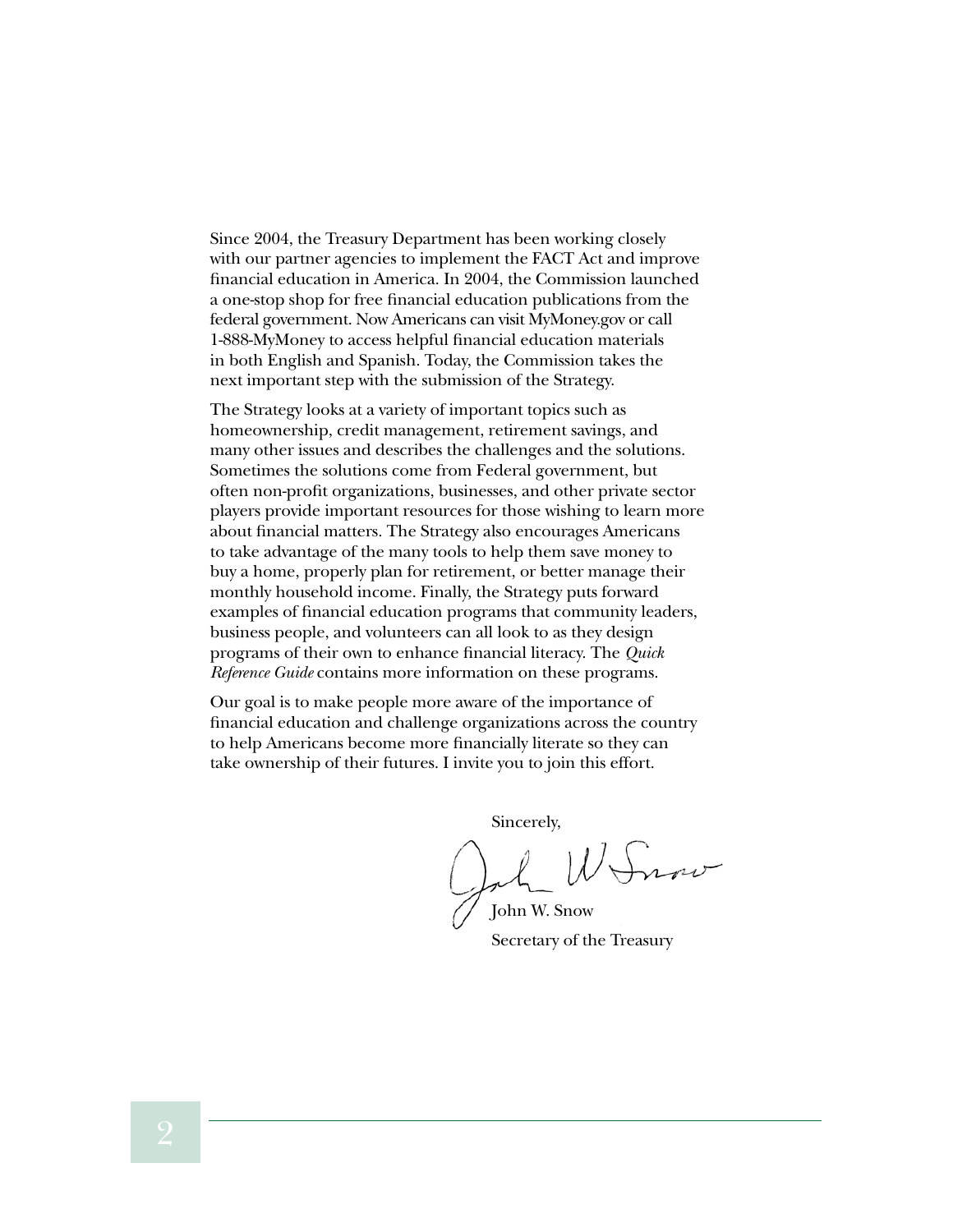Since 2004, the Treasury Department has been working closely with our partner agencies to implement the FACT Act and improve financial education in America. In 2004, the Commission launched a one-stop shop for free financial education publications from the federal government. Now Americans can visit MyMoney.gov or call 1-888-MyMoney to access helpful financial education materials in both English and Spanish. Today, the Commission takes the next important step with the submission of the Strategy.

The Strategy looks at a variety of important topics such as homeownership, credit management, retirement savings, and many other issues and describes the challenges and the solutions. Sometimes the solutions come from Federal government, but often non-profit organizations, businesses, and other private sector players provide important resources for those wishing to learn more about financial matters. The Strategy also encourages Americans to take advantage of the many tools to help them save money to buy a home, properly plan for retirement, or better manage their monthly household income. Finally, the Strategy puts forward examples of financial education programs that community leaders, business people, and volunteers can all look to as they design programs of their own to enhance financial literacy. The *Quick Reference Guide* contains more information on these programs.

Our goal is to make people more aware of the importance of financial education and challenge organizations across the country to help Americans become more financially literate so they can take ownership of their futures. I invite you to join this effort.

Sincerely,

 $11$ 

John W. Snow Secretary of the Treasury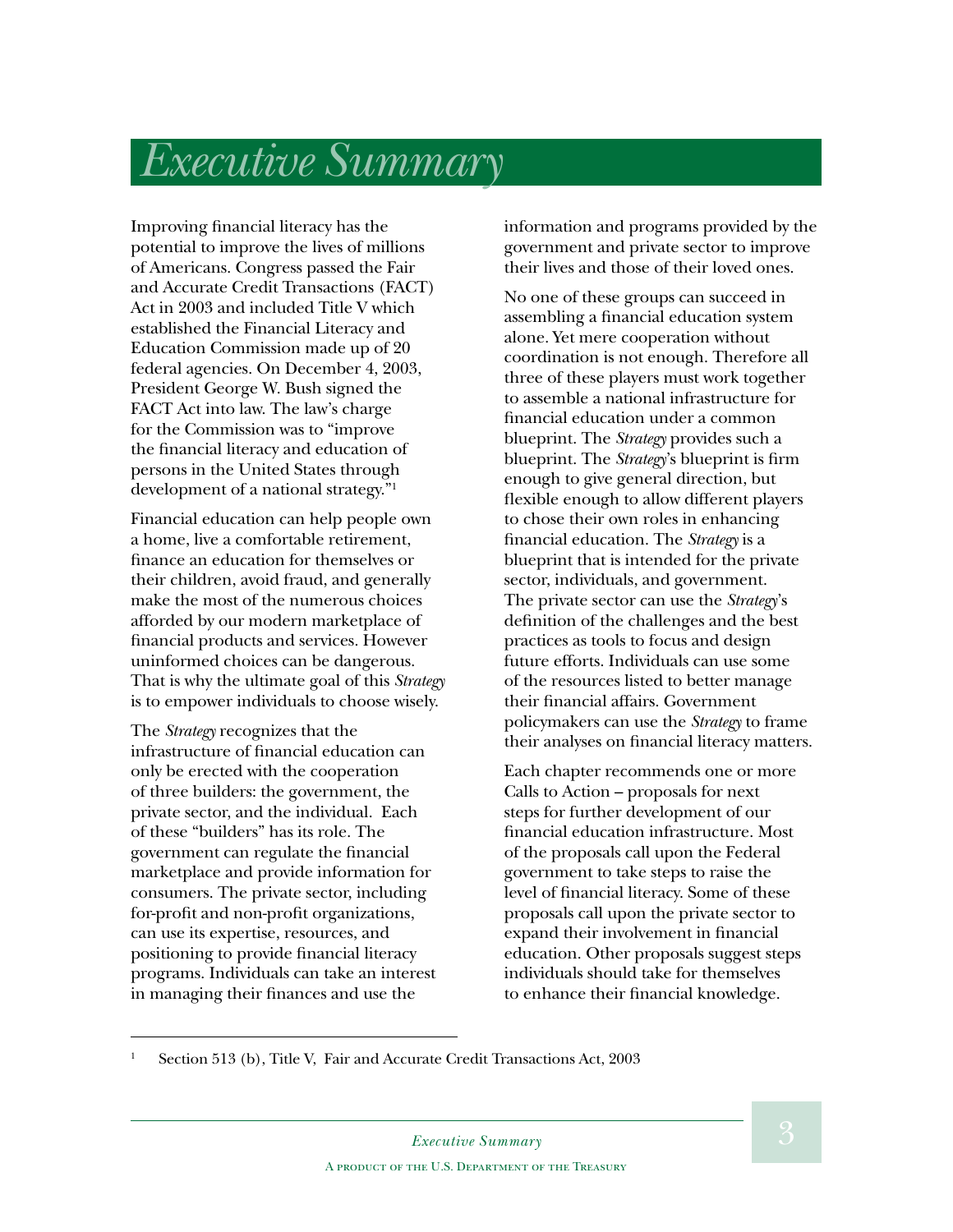## *Executive Summary*

Improving financial literacy has the potential to improve the lives of millions of Americans. Congress passed the Fair and Accurate Credit Transactions (FACT) Act in 2003 and included Title V which established the Financial Literacy and Education Commission made up of 20 federal agencies. On December 4, 2003, President George W. Bush signed the FACT Act into law. The law's charge for the Commission was to "improve the financial literacy and education of persons in the United States through development of a national strategy."1

Financial education can help people own a home, live a comfortable retirement, finance an education for themselves or their children, avoid fraud, and generally make the most of the numerous choices afforded by our modern marketplace of financial products and services. However uninformed choices can be dangerous. That is why the ultimate goal of this *Strategy* is to empower individuals to choose wisely.

The *Strategy* recognizes that the infrastructure of financial education can only be erected with the cooperation of three builders: the government, the private sector, and the individual. Each of these "builders" has its role. The government can regulate the financial marketplace and provide information for consumers. The private sector, including for-profit and non-profit organizations, can use its expertise, resources, and positioning to provide financial literacy programs. Individuals can take an interest in managing their finances and use the

information and programs provided by the government and private sector to improve their lives and those of their loved ones.

No one of these groups can succeed in assembling a financial education system alone. Yet mere cooperation without coordination is not enough. Therefore all three of these players must work together to assemble a national infrastructure for financial education under a common blueprint. The *Strategy* provides such a blueprint. The *Strategy*'s blueprint is firm enough to give general direction, but flexible enough to allow different players to chose their own roles in enhancing financial education. The *Strategy* is a blueprint that is intended for the private sector, individuals, and government. The private sector can use the *Strategy*'s definition of the challenges and the best practices as tools to focus and design future efforts. Individuals can use some of the resources listed to better manage their financial affairs. Government policymakers can use the *Strategy* to frame their analyses on financial literacy matters.

Each chapter recommends one or more Calls to Action – proposals for next steps for further development of our financial education infrastructure. Most of the proposals call upon the Federal government to take steps to raise the level of financial literacy. Some of these proposals call upon the private sector to expand their involvement in financial education. Other proposals suggest steps individuals should take for themselves to enhance their financial knowledge.

<sup>1</sup> Section 513 (b), Title V, Fair and Accurate Credit Transactions Act, 2003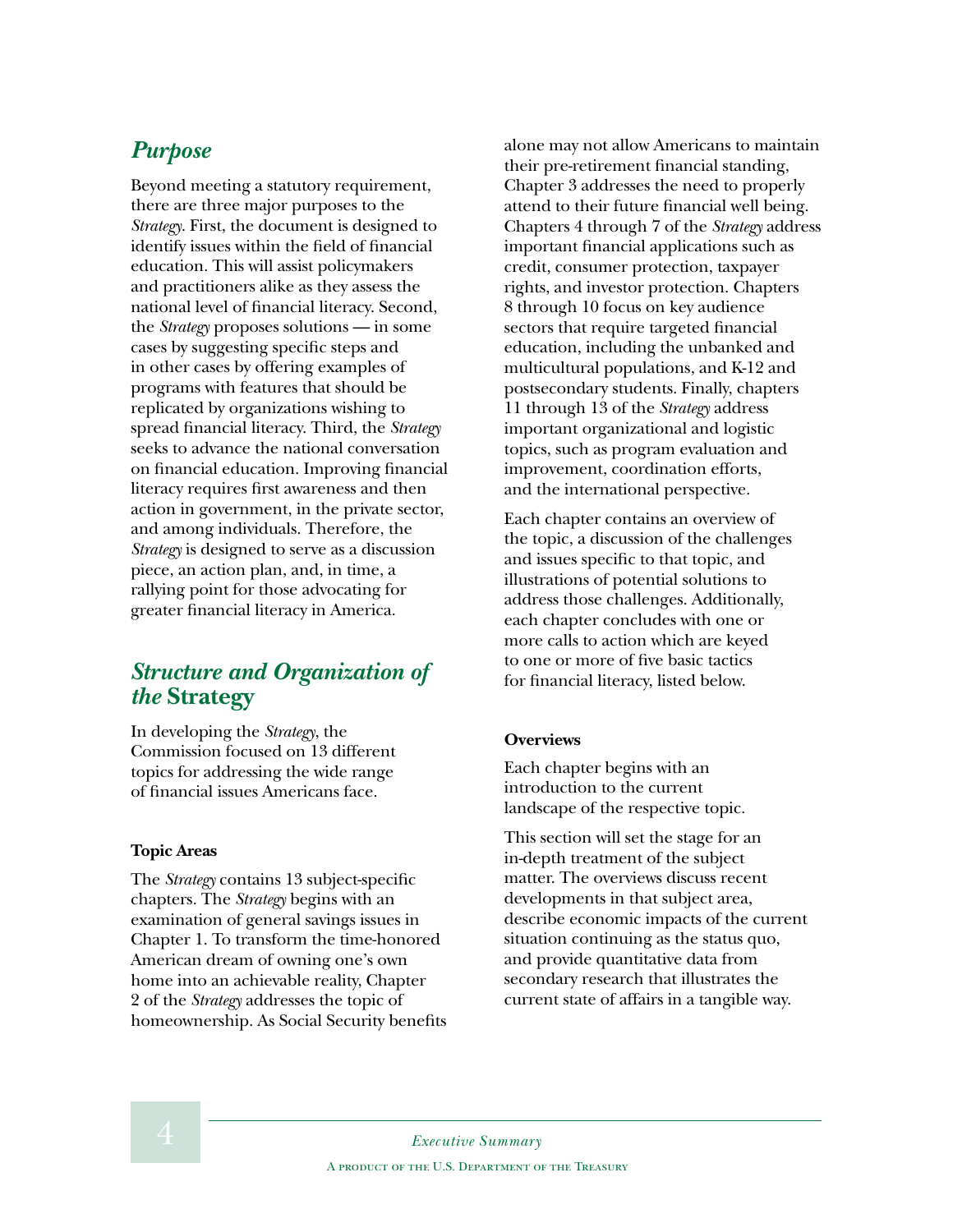#### *Purpose*

Beyond meeting a statutory requirement, there are three major purposes to the *Strategy*. First, the document is designed to identify issues within the field of financial education. This will assist policymakers and practitioners alike as they assess the national level of financial literacy. Second, the *Strategy* proposes solutions — in some cases by suggesting specific steps and in other cases by offering examples of programs with features that should be replicated by organizations wishing to spread financial literacy. Third, the *Strategy* seeks to advance the national conversation on financial education. Improving financial literacy requires first awareness and then action in government, in the private sector, and among individuals. Therefore, the *Strategy* is designed to serve as a discussion piece, an action plan, and, in time, a rallying point for those advocating for greater financial literacy in America.

#### *Structure and Organization of the* **Strategy**

In developing the *Strategy*, the Commission focused on 13 different topics for addressing the wide range of financial issues Americans face.

#### **Topic Areas**

The *Strategy* contains 13 subject-specific chapters. The *Strategy* begins with an examination of general savings issues in Chapter 1. To transform the time-honored American dream of owning one's own home into an achievable reality, Chapter 2 of the *Strategy* addresses the topic of homeownership. As Social Security benefits alone may not allow Americans to maintain their pre-retirement financial standing, Chapter 3 addresses the need to properly attend to their future financial well being. Chapters 4 through 7 of the *Strategy* address important financial applications such as credit, consumer protection, taxpayer rights, and investor protection. Chapters 8 through 10 focus on key audience sectors that require targeted financial education, including the unbanked and multicultural populations, and K-12 and postsecondary students. Finally, chapters 11 through 13 of the *Strategy* address important organizational and logistic topics, such as program evaluation and improvement, coordination efforts, and the international perspective.

Each chapter contains an overview of the topic, a discussion of the challenges and issues specific to that topic, and illustrations of potential solutions to address those challenges. Additionally, each chapter concludes with one or more calls to action which are keyed to one or more of five basic tactics for financial literacy, listed below.

#### **Overviews**

Each chapter begins with an introduction to the current landscape of the respective topic.

This section will set the stage for an in-depth treatment of the subject matter. The overviews discuss recent developments in that subject area, describe economic impacts of the current situation continuing as the status quo, and provide quantitative data from secondary research that illustrates the current state of affairs in a tangible way.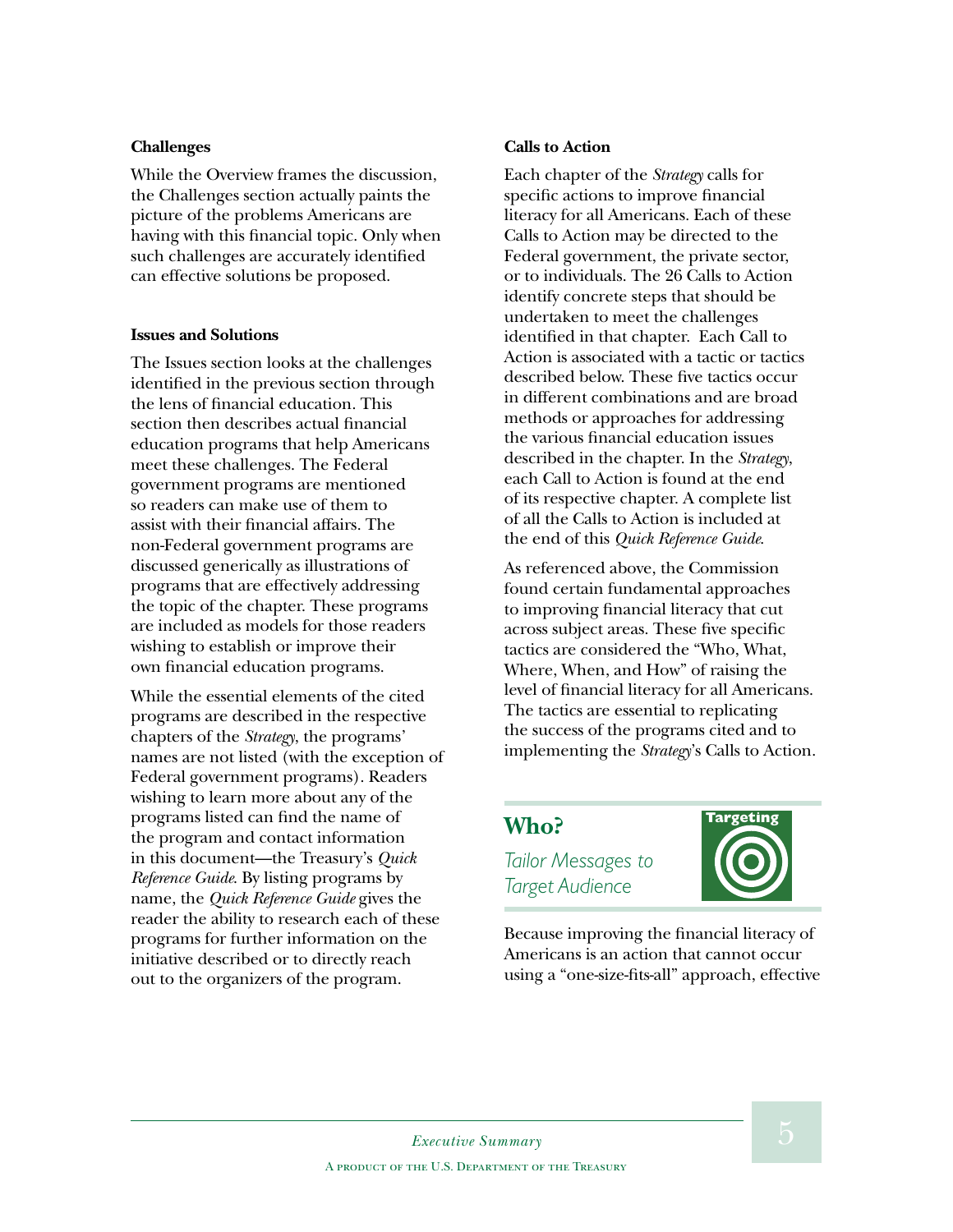#### **Challenges**

While the Overview frames the discussion, the Challenges section actually paints the picture of the problems Americans are having with this financial topic. Only when such challenges are accurately identified can effective solutions be proposed.

#### **Issues and Solutions**

The Issues section looks at the challenges identified in the previous section through the lens of financial education. This section then describes actual financial education programs that help Americans meet these challenges. The Federal government programs are mentioned so readers can make use of them to assist with their financial affairs. The non-Federal government programs are discussed generically as illustrations of programs that are effectively addressing the topic of the chapter. These programs are included as models for those readers wishing to establish or improve their own financial education programs.

While the essential elements of the cited programs are described in the respective chapters of the *Strategy*, the programs' names are not listed (with the exception of Federal government programs). Readers wishing to learn more about any of the programs listed can find the name of the program and contact information in this document—the Treasury's *Quick Reference Guide*. By listing programs by name, the *Quick Reference Guide* gives the reader the ability to research each of these programs for further information on the initiative described or to directly reach out to the organizers of the program.

#### **Calls to Action**

Each chapter of the *Strategy* calls for specific actions to improve financial literacy for all Americans. Each of these Calls to Action may be directed to the Federal government, the private sector, or to individuals. The 26 Calls to Action identify concrete steps that should be undertaken to meet the challenges identified in that chapter. Each Call to Action is associated with a tactic or tactics described below. These five tactics occur in different combinations and are broad methods or approaches for addressing the various financial education issues described in the chapter. In the *Strategy*, each Call to Action is found at the end of its respective chapter. A complete list of all the Calls to Action is included at the end of this *Quick Reference Guide*.

As referenced above, the Commission found certain fundamental approaches to improving financial literacy that cut across subject areas. These five specific tactics are considered the "Who, What, Where, When, and How" of raising the level of financial literacy for all Americans. The tactics are essential to replicating the success of the programs cited and to implementing the *Strategy*'s Calls to Action.

#### **Who?**

*Tailor Messages to Target Audience*



Because improving the financial literacy of Americans is an action that cannot occur using a "one-size-fits-all" approach, effective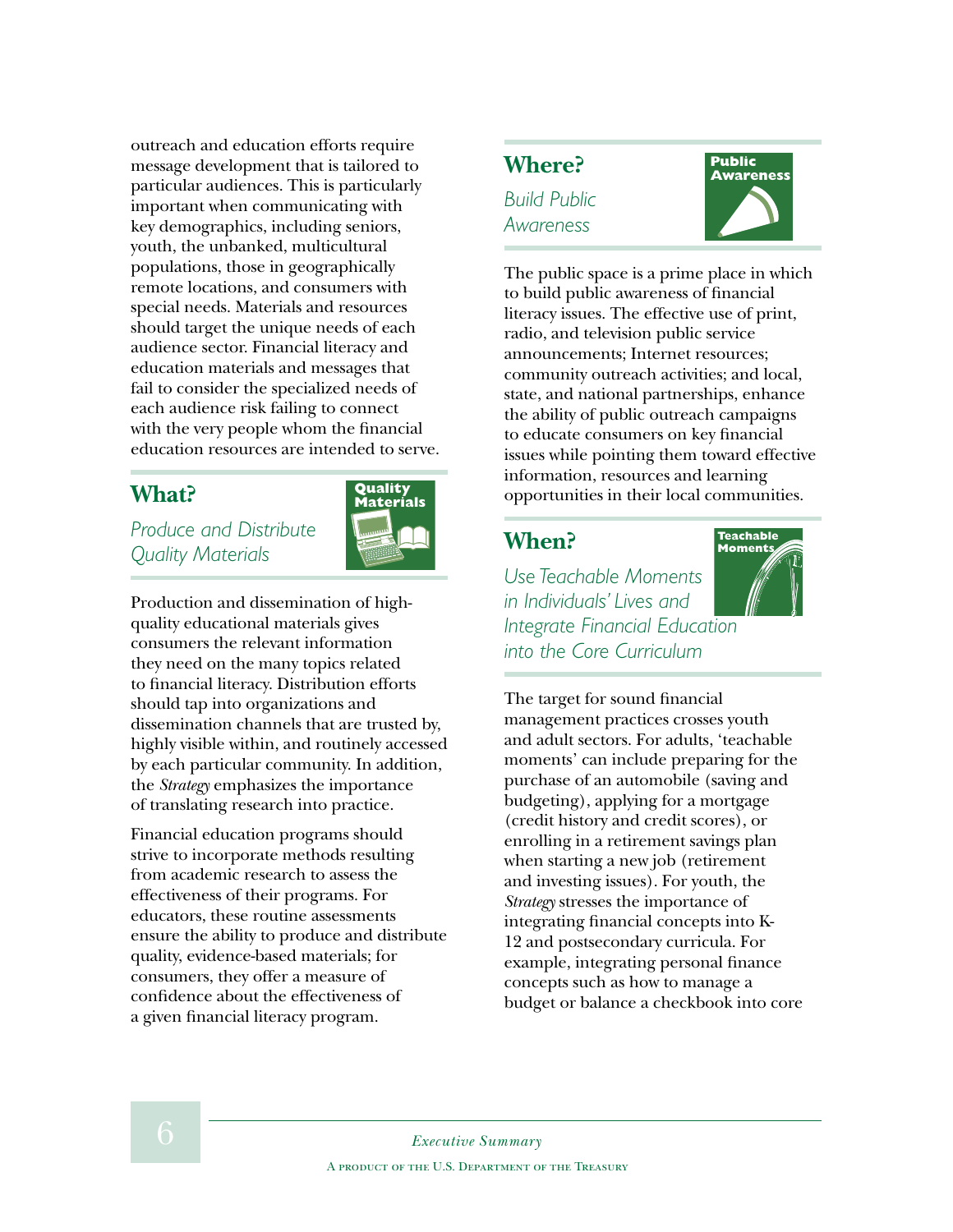outreach and education efforts require message development that is tailored to particular audiences. This is particularly important when communicating with key demographics, including seniors, youth, the unbanked, multicultural populations, those in geographically remote locations, and consumers with special needs. Materials and resources should target the unique needs of each audience sector. Financial literacy and education materials and messages that fail to consider the specialized needs of each audience risk failing to connect with the very people whom the financial education resources are intended to serve.

#### **What?**

*Produce and Distribute Quality Materials*



Production and dissemination of highquality educational materials gives consumers the relevant information they need on the many topics related to financial literacy. Distribution efforts should tap into organizations and dissemination channels that are trusted by, highly visible within, and routinely accessed by each particular community. In addition, the *Strategy* emphasizes the importance of translating research into practice.

Financial education programs should strive to incorporate methods resulting from academic research to assess the effectiveness of their programs. For educators, these routine assessments ensure the ability to produce and distribute quality, evidence-based materials; for consumers, they offer a measure of confidence about the effectiveness of a given financial literacy program.

#### **Where?**  *Build Public Awareness*

**Public Awareness**

The public space is a prime place in which to build public awareness of financial literacy issues. The effective use of print, radio, and television public service announcements; Internet resources; community outreach activities; and local, state, and national partnerships, enhance the ability of public outreach campaigns to educate consumers on key financial issues while pointing them toward effective information, resources and learning opportunities in their local communities.

#### **When?**

*Use Teachable Moments in Individuals' Lives and Integrate Financial Education into the Core Curriculum*



The target for sound financial management practices crosses youth and adult sectors. For adults, 'teachable moments' can include preparing for the purchase of an automobile (saving and budgeting), applying for a mortgage (credit history and credit scores), or enrolling in a retirement savings plan when starting a new job (retirement and investing issues). For youth, the *Strategy* stresses the importance of integrating financial concepts into K- 12 and postsecondary curricula. For example, integrating personal finance concepts such as how to manage a budget or balance a checkbook into core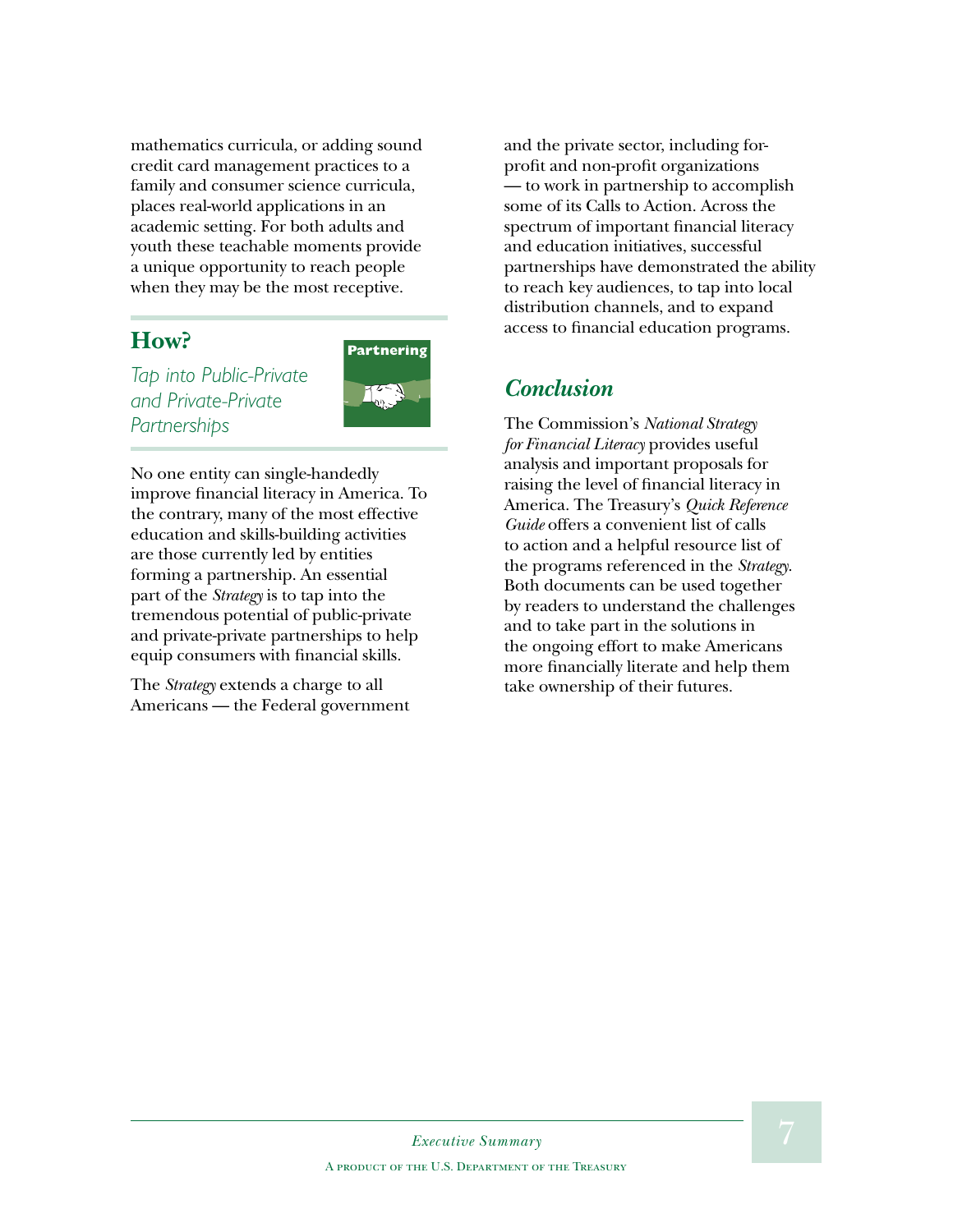mathematics curricula, or adding sound credit card management practices to a family and consumer science curricula, places real-world applications in an academic setting. For both adults and youth these teachable moments provide a unique opportunity to reach people when they may be the most receptive.

#### **How?**

*Tap into Public-Private and Private-Private Partnerships*



No one entity can single-handedly improve financial literacy in America. To the contrary, many of the most effective education and skills-building activities are those currently led by entities forming a partnership. An essential part of the *Strategy* is to tap into the tremendous potential of public-private and private-private partnerships to help equip consumers with financial skills.

The *Strategy* extends a charge to all Americans — the Federal government and the private sector, including forprofit and non-profit organizations — to work in partnership to accomplish some of its Calls to Action. Across the spectrum of important financial literacy and education initiatives, successful partnerships have demonstrated the ability to reach key audiences, to tap into local distribution channels, and to expand access to financial education programs.

#### *Conclusion*

The Commission's *National Strategy for Financial Literacy* provides useful analysis and important proposals for raising the level of financial literacy in America. The Treasury's *Quick Reference Guide* offers a convenient list of calls to action and a helpful resource list of the programs referenced in the *Strategy*. Both documents can be used together by readers to understand the challenges and to take part in the solutions in the ongoing effort to make Americans more financially literate and help them take ownership of their futures.

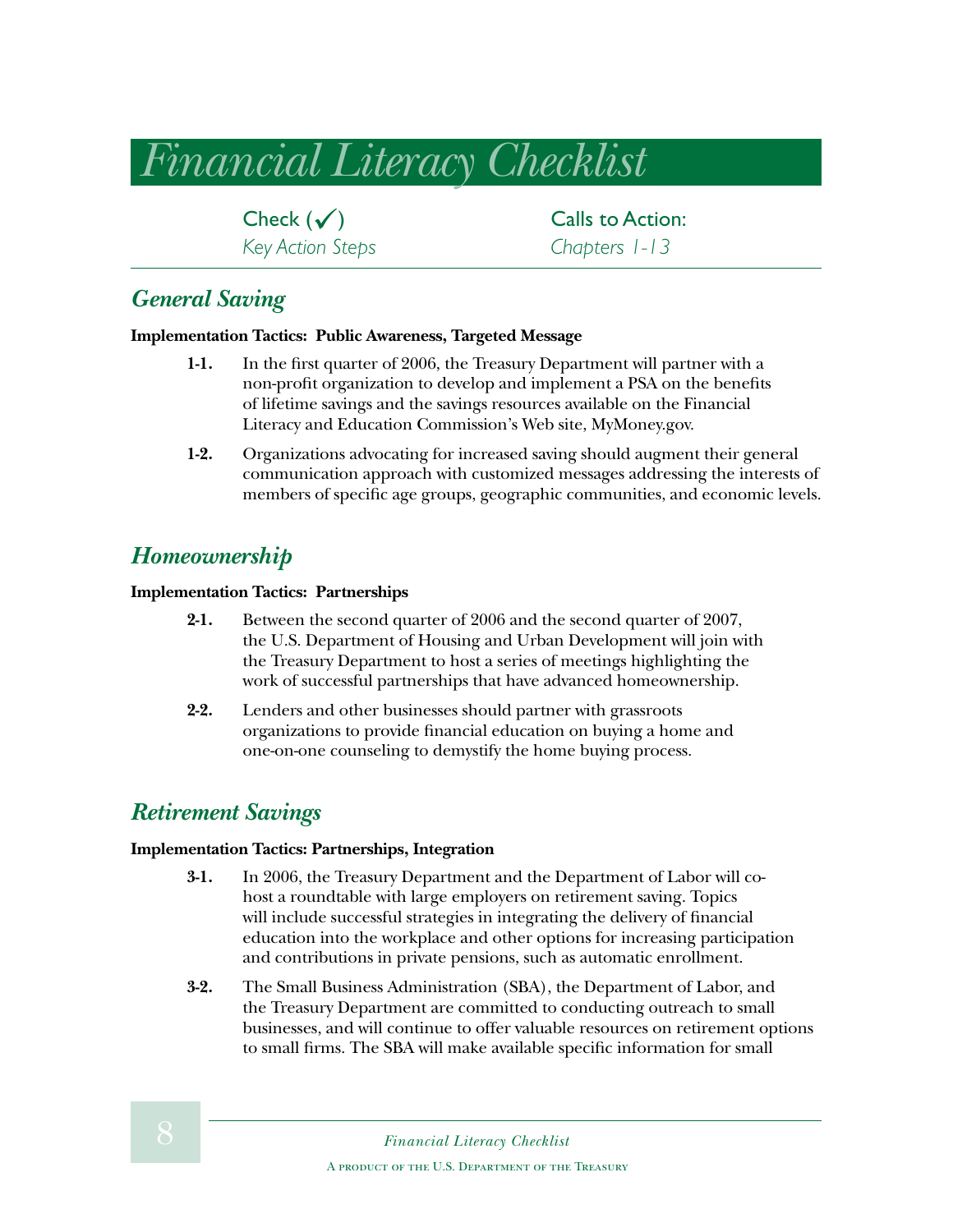### *Financial Literacy Checklist*

*Key Action Steps Chapters 1-13*

**Check**  $(\checkmark)$  Calls to Action:<br>Key Action Steps **Chapters** 1-13

#### *General Saving*

#### **Implementation Tactics: Public Awareness, Targeted Message**

- **1-1.** In the first quarter of 2006, the Treasury Department will partner with a non-profit organization to develop and implement a PSA on the benefits of lifetime savings and the savings resources available on the Financial Literacy and Education Commission's Web site, MyMoney.gov.
- **1-2.** Organizations advocating for increased saving should augment their general communication approach with customized messages addressing the interests of members of specific age groups, geographic communities, and economic levels.

#### *Homeownership*

#### **Implementation Tactics: Partnerships**

- **2-1.** Between the second quarter of 2006 and the second quarter of 2007, the U.S. Department of Housing and Urban Development will join with the Treasury Department to host a series of meetings highlighting the work of successful partnerships that have advanced homeownership.
- **2-2.** Lenders and other businesses should partner with grassroots organizations to provide financial education on buying a home and one-on-one counseling to demystify the home buying process.

#### *Retirement Savings*

#### **Implementation Tactics: Partnerships, Integration**

- **3-1.** In 2006, the Treasury Department and the Department of Labor will cohost a roundtable with large employers on retirement saving. Topics will include successful strategies in integrating the delivery of financial education into the workplace and other options for increasing participation and contributions in private pensions, such as automatic enrollment.
- **3-2.** The Small Business Administration (SBA), the Department of Labor, and the Treasury Department are committed to conducting outreach to small businesses, and will continue to offer valuable resources on retirement options to small firms. The SBA will make available specific information for small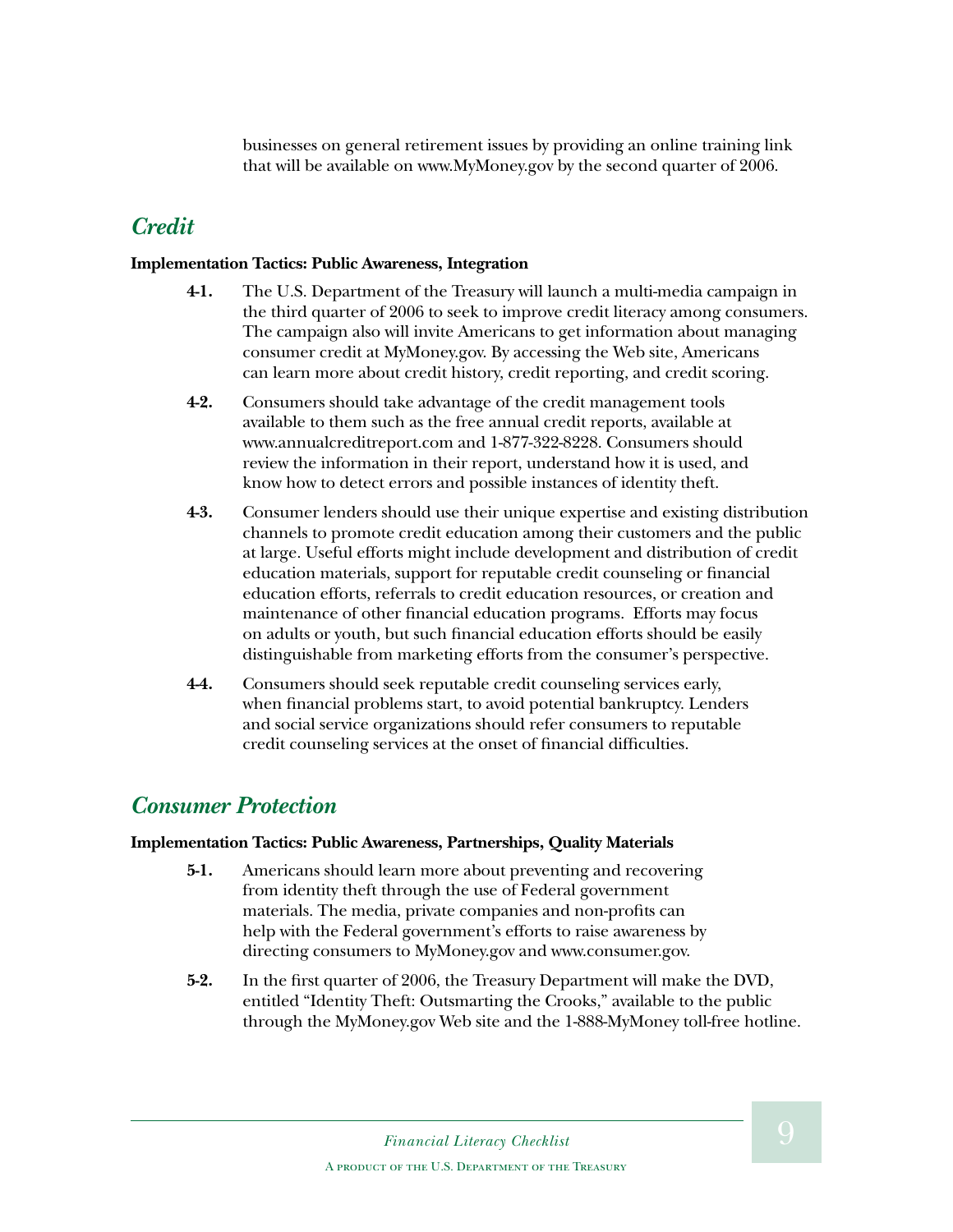businesses on general retirement issues by providing an online training link that will be available on www.MyMoney.gov by the second quarter of 2006.

#### *Credit*

#### **Implementation Tactics: Public Awareness, Integration**

- **4-1.** The U.S. Department of the Treasury will launch a multi-media campaign in the third quarter of 2006 to seek to improve credit literacy among consumers. The campaign also will invite Americans to get information about managing consumer credit at MyMoney.gov. By accessing the Web site, Americans can learn more about credit history, credit reporting, and credit scoring.
- **4-2.** Consumers should take advantage of the credit management tools available to them such as the free annual credit reports, available at www.annualcreditreport.com and 1-877-322-8228. Consumers should review the information in their report, understand how it is used, and know how to detect errors and possible instances of identity theft.
- **4-3.** Consumer lenders should use their unique expertise and existing distribution channels to promote credit education among their customers and the public at large. Useful efforts might include development and distribution of credit education materials, support for reputable credit counseling or financial education efforts, referrals to credit education resources, or creation and maintenance of other financial education programs. Efforts may focus on adults or youth, but such financial education efforts should be easily distinguishable from marketing efforts from the consumer's perspective.
- **4-4.** Consumers should seek reputable credit counseling services early, when financial problems start, to avoid potential bankruptcy. Lenders and social service organizations should refer consumers to reputable credit counseling services at the onset of financial difficulties.

#### *Consumer Protection*

#### **Implementation Tactics: Public Awareness, Partnerships, Quality Materials**

- **5-1.** Americans should learn more about preventing and recovering from identity theft through the use of Federal government materials. The media, private companies and non-profits can help with the Federal government's efforts to raise awareness by directing consumers to MyMoney.gov and www.consumer.gov.
- **5-2.** In the first quarter of 2006, the Treasury Department will make the DVD, entitled "Identity Theft: Outsmarting the Crooks," available to the public through the MyMoney.gov Web site and the 1-888-MyMoney toll-free hotline.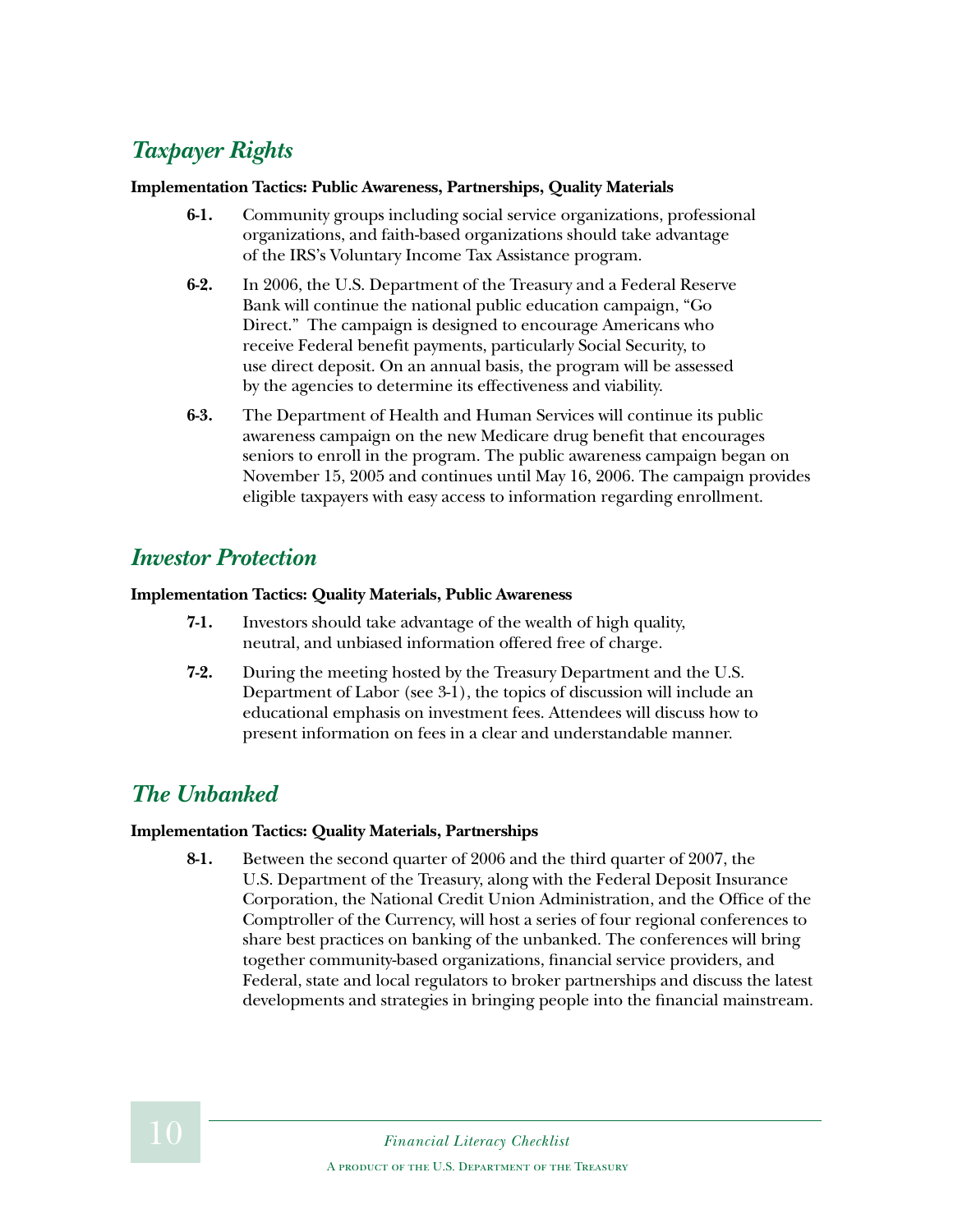### *Taxpayer Rights*

#### **Implementation Tactics: Public Awareness, Partnerships, Quality Materials**

- **6-1.** Community groups including social service organizations, professional organizations, and faith-based organizations should take advantage of the IRS's Voluntary Income Tax Assistance program.
- **6-2.** In 2006, the U.S. Department of the Treasury and a Federal Reserve Bank will continue the national public education campaign, "Go Direct." The campaign is designed to encourage Americans who receive Federal benefit payments, particularly Social Security, to use direct deposit. On an annual basis, the program will be assessed by the agencies to determine its effectiveness and viability.
- **6-3.** The Department of Health and Human Services will continue its public awareness campaign on the new Medicare drug benefit that encourages seniors to enroll in the program. The public awareness campaign began on November 15, 2005 and continues until May 16, 2006. The campaign provides eligible taxpayers with easy access to information regarding enrollment.

#### *Investor Protection*

#### **Implementation Tactics: Quality Materials, Public Awareness**

- **7-1.** Investors should take advantage of the wealth of high quality, neutral, and unbiased information offered free of charge.
- **7-2.** During the meeting hosted by the Treasury Department and the U.S. Department of Labor (see 3-1), the topics of discussion will include an educational emphasis on investment fees. Attendees will discuss how to present information on fees in a clear and understandable manner.

#### *The Unbanked*

#### **Implementation Tactics: Quality Materials, Partnerships**

**8-1.** Between the second quarter of 2006 and the third quarter of 2007, the U.S. Department of the Treasury, along with the Federal Deposit Insurance Corporation, the National Credit Union Administration, and the Office of the Comptroller of the Currency, will host a series of four regional conferences to share best practices on banking of the unbanked. The conferences will bring together community-based organizations, financial service providers, and Federal, state and local regulators to broker partnerships and discuss the latest developments and strategies in bringing people into the financial mainstream.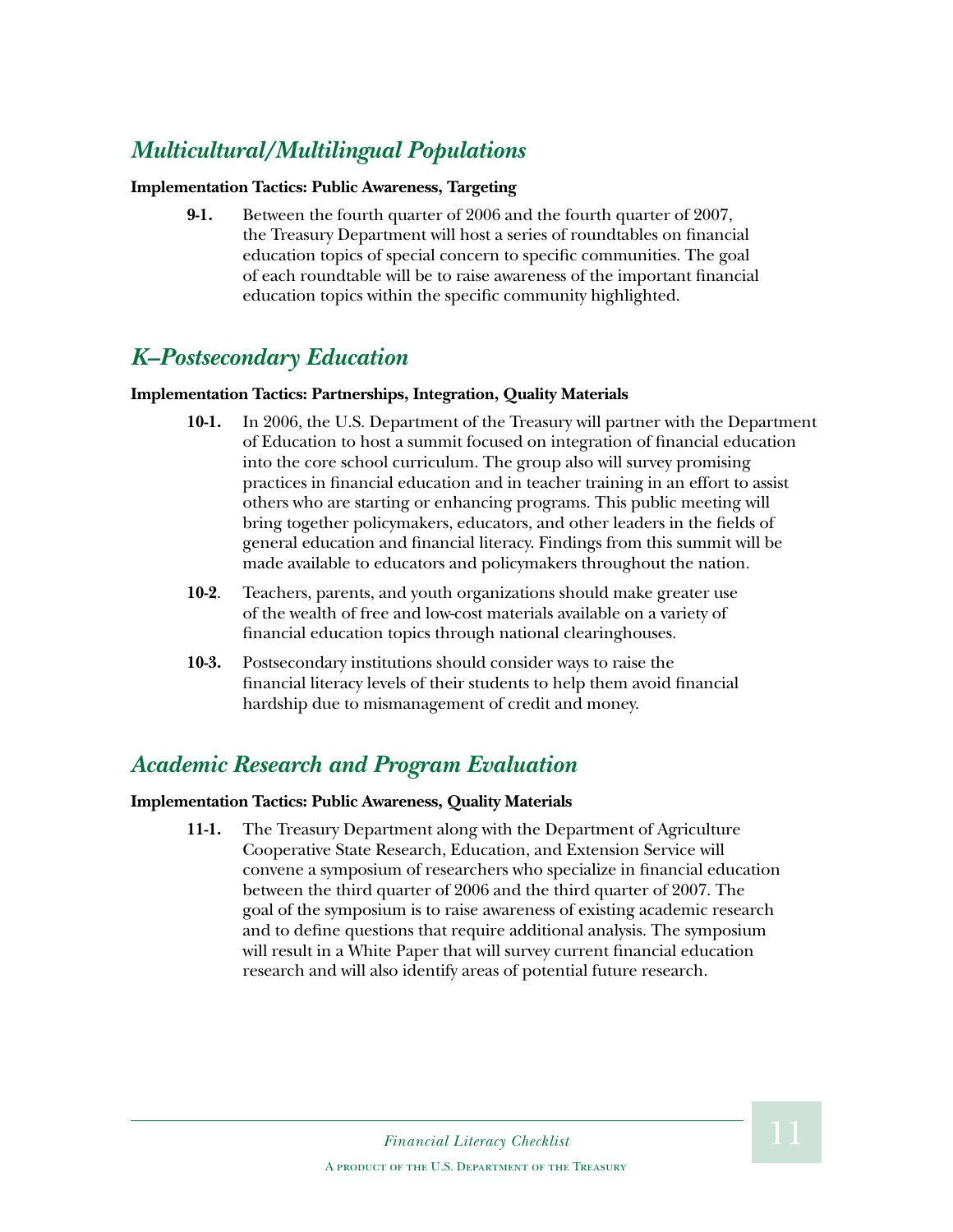### *Multicultural/Multilingual Populations*

#### **Implementation Tactics: Public Awareness, Targeting**

**9-1.** Between the fourth quarter of 2006 and the fourth quarter of 2007, the Treasury Department will host a series of roundtables on financial education topics of special concern to specific communities. The goal of each roundtable will be to raise awareness of the important financial education topics within the specific community highlighted.

#### *K–Postsecondary Education*

#### **Implementation Tactics: Partnerships, Integration, Quality Materials**

- **10-1.** In 2006, the U.S. Department of the Treasury will partner with the Department of Education to host a summit focused on integration of financial education into the core school curriculum. The group also will survey promising practices in financial education and in teacher training in an effort to assist others who are starting or enhancing programs. This public meeting will bring together policymakers, educators, and other leaders in the fields of general education and financial literacy. Findings from this summit will be made available to educators and policymakers throughout the nation.
- **10-2**. Teachers, parents, and youth organizations should make greater use of the wealth of free and low-cost materials available on a variety of financial education topics through national clearinghouses.
- **10-3.** Postsecondary institutions should consider ways to raise the financial literacy levels of their students to help them avoid financial hardship due to mismanagement of credit and money.

#### *Academic Research and Program Evaluation*

#### **Implementation Tactics: Public Awareness, Quality Materials**

**11-1.** The Treasury Department along with the Department of Agriculture Cooperative State Research, Education, and Extension Service will convene a symposium of researchers who specialize in financial education between the third quarter of 2006 and the third quarter of 2007. The goal of the symposium is to raise awareness of existing academic research and to define questions that require additional analysis. The symposium will result in a White Paper that will survey current financial education research and will also identify areas of potential future research.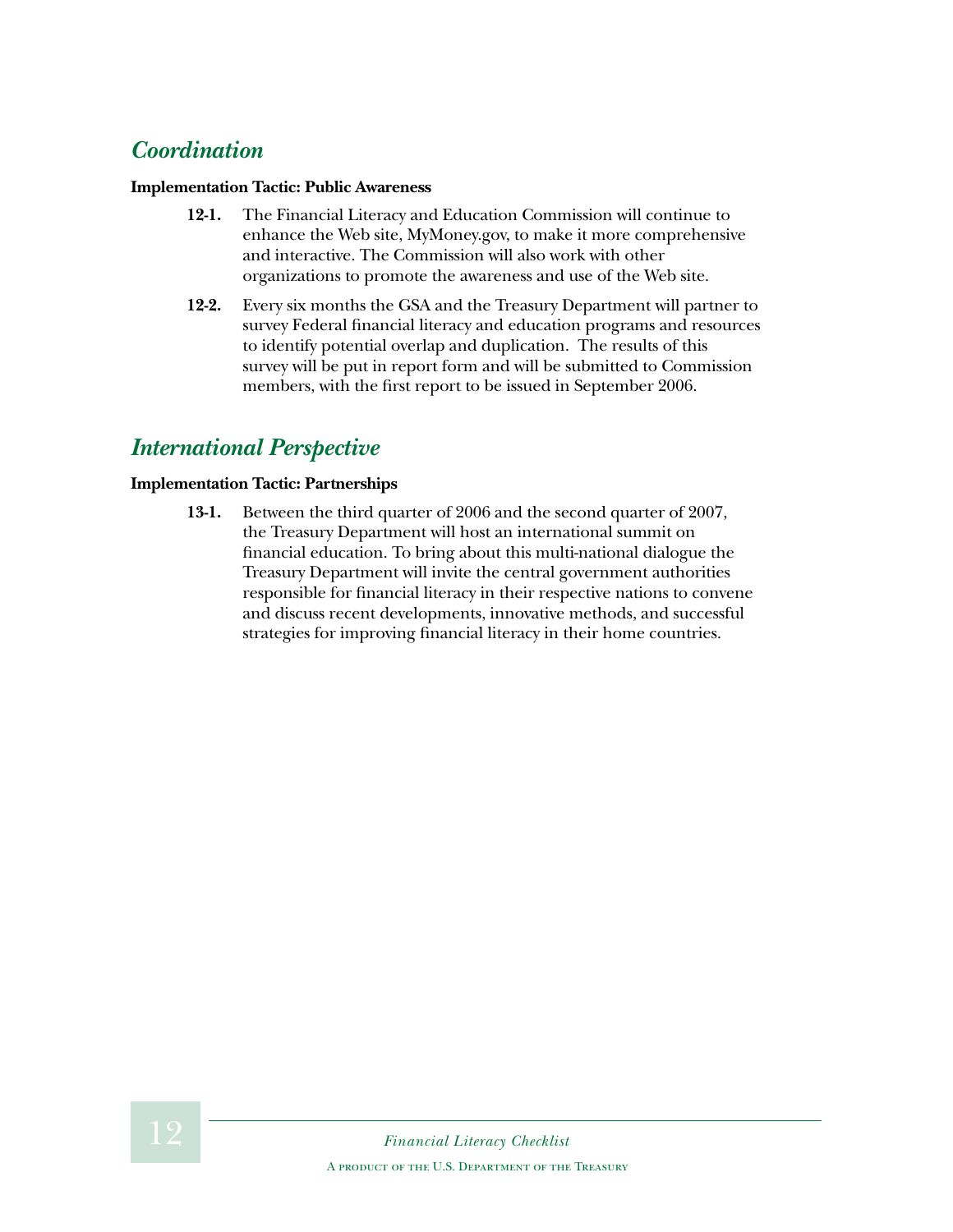#### *Coordination*

#### **Implementation Tactic: Public Awareness**

- **12-1.** The Financial Literacy and Education Commission will continue to enhance the Web site, MyMoney.gov, to make it more comprehensive and interactive. The Commission will also work with other organizations to promote the awareness and use of the Web site.
- **12-2.** Every six months the GSA and the Treasury Department will partner to survey Federal financial literacy and education programs and resources to identify potential overlap and duplication. The results of this survey will be put in report form and will be submitted to Commission members, with the first report to be issued in September 2006.

#### *International Perspective*

#### **Implementation Tactic: Partnerships**

**13-1.** Between the third quarter of 2006 and the second quarter of 2007, the Treasury Department will host an international summit on financial education. To bring about this multi-national dialogue the Treasury Department will invite the central government authorities responsible for financial literacy in their respective nations to convene and discuss recent developments, innovative methods, and successful strategies for improving financial literacy in their home countries.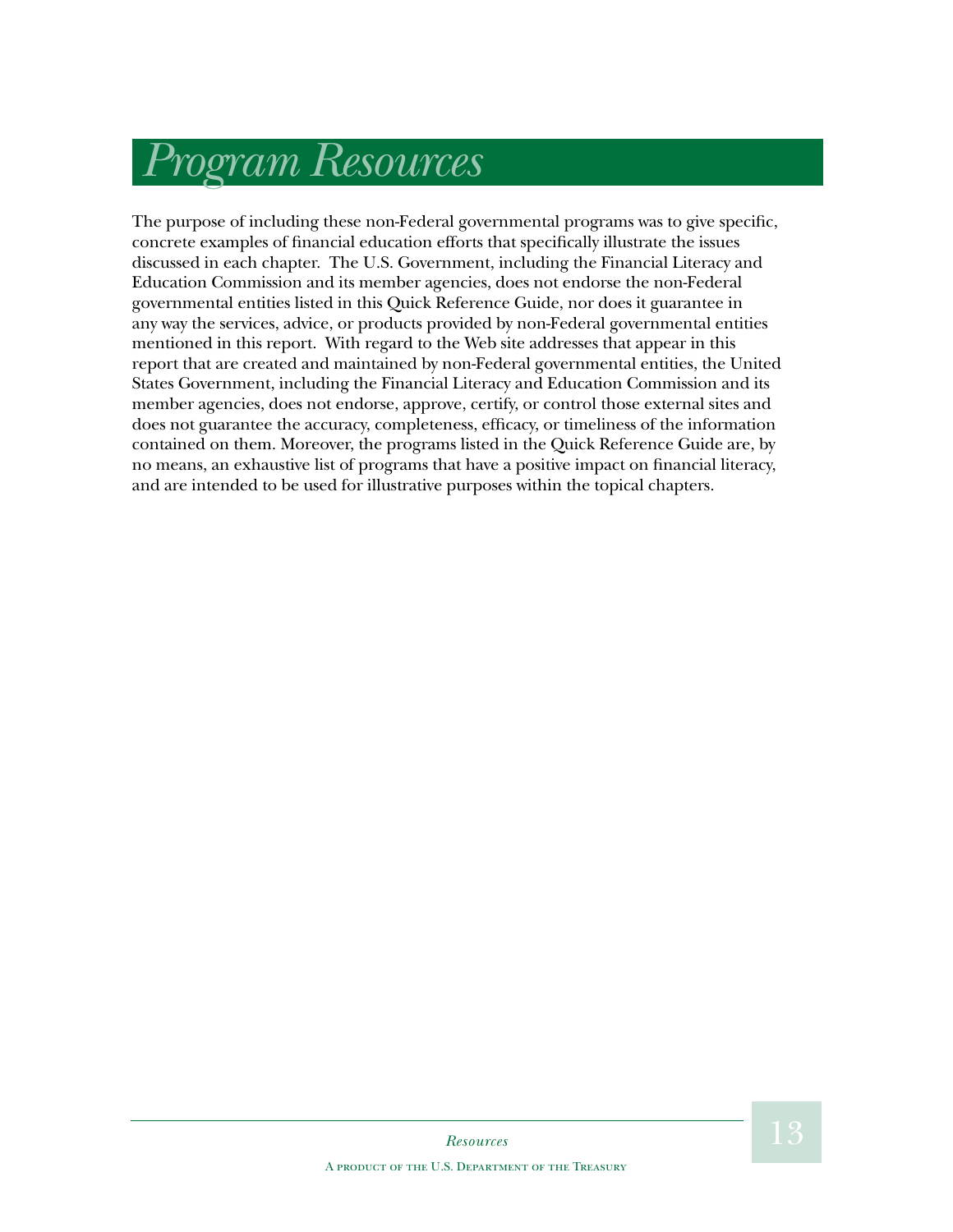## *Program Resources*

The purpose of including these non-Federal governmental programs was to give specific, concrete examples of financial education efforts that specifically illustrate the issues discussed in each chapter. The U.S. Government, including the Financial Literacy and Education Commission and its member agencies, does not endorse the non-Federal governmental entities listed in this Quick Reference Guide, nor does it guarantee in any way the services, advice, or products provided by non-Federal governmental entities mentioned in this report. With regard to the Web site addresses that appear in this report that are created and maintained by non-Federal governmental entities, the United States Government, including the Financial Literacy and Education Commission and its member agencies, does not endorse, approve, certify, or control those external sites and does not guarantee the accuracy, completeness, efficacy, or timeliness of the information contained on them. Moreover, the programs listed in the Quick Reference Guide are, by no means, an exhaustive list of programs that have a positive impact on financial literacy, and are intended to be used for illustrative purposes within the topical chapters.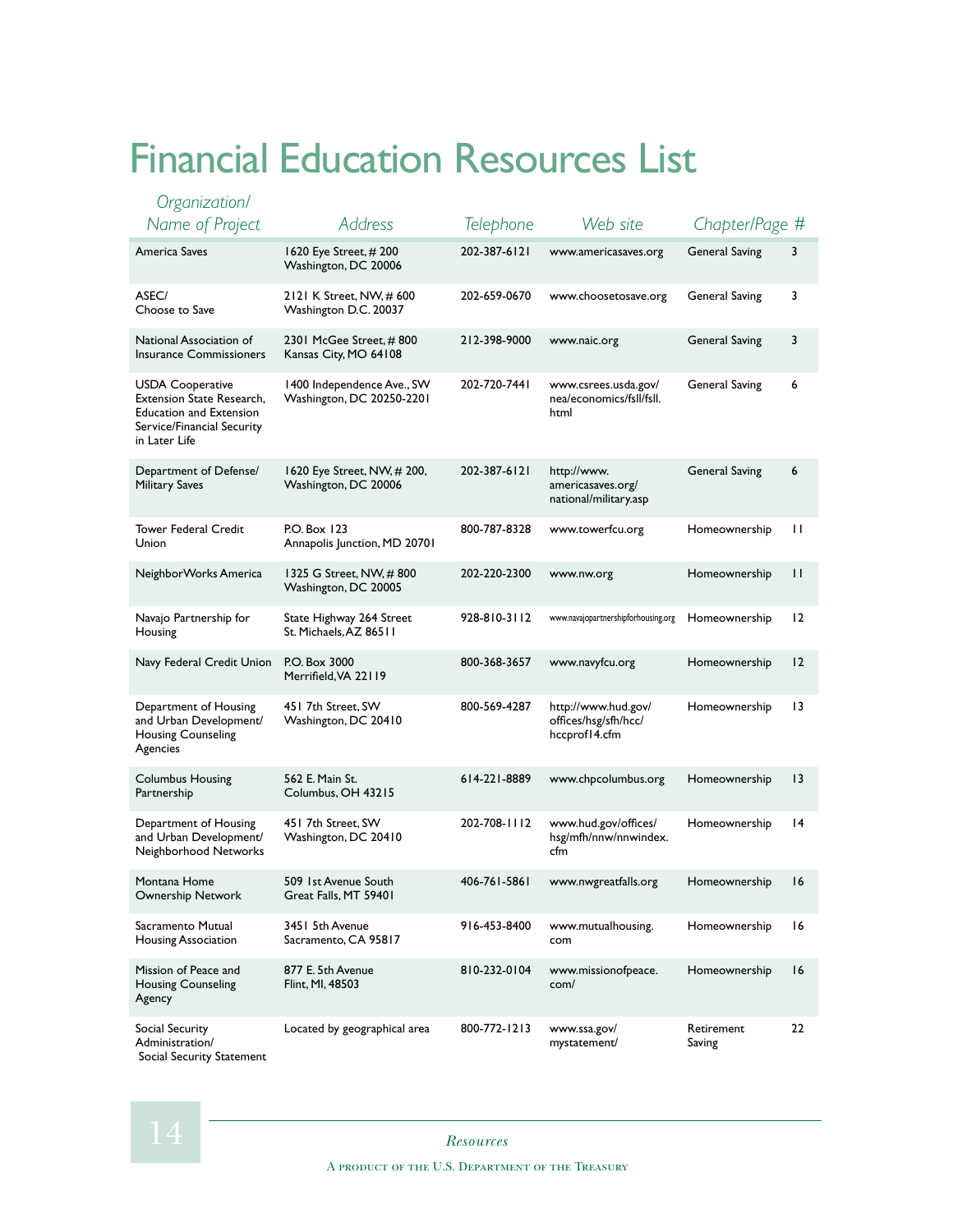## Financial Education Resources List

| Organization/<br>Name of Project                                                                                                             | Address                                                 |              | Web site                                                     |                       |                 |
|----------------------------------------------------------------------------------------------------------------------------------------------|---------------------------------------------------------|--------------|--------------------------------------------------------------|-----------------------|-----------------|
|                                                                                                                                              |                                                         | Telephone    |                                                              | Chapter/Page #        |                 |
| America Saves                                                                                                                                | 1620 Eye Street, # 200<br>Washington, DC 20006          | 202-387-6121 | www.americasaves.org                                         | <b>General Saving</b> | 3               |
| ASEC/<br>Choose to Save                                                                                                                      | 2121 K Street, NW, # 600<br>Washington D.C. 20037       | 202-659-0670 | www.choosetosave.org                                         | General Saving        | 3               |
| National Association of<br><b>Insurance Commissioners</b>                                                                                    | 2301 McGee Street, #800<br>Kansas City, MO 64108        | 212-398-9000 | www.naic.org                                                 | <b>General Saving</b> | 3               |
| <b>USDA Cooperative</b><br><b>Extension State Research,</b><br><b>Education and Extension</b><br>Service/Financial Security<br>in Later Life | 1400 Independence Ave., SW<br>Washington, DC 20250-2201 | 202-720-7441 | www.csrees.usda.gov/<br>nea/economics/fsll/fsll.<br>html     | General Saving        | 6               |
| Department of Defense/<br><b>Military Saves</b>                                                                                              | 1620 Eye Street, NW, # 200,<br>Washington, DC 20006     | 202-387-6121 | http://www.<br>americasaves.org/<br>national/military.asp    | <b>General Saving</b> | 6               |
| <b>Tower Federal Credit</b><br>Union                                                                                                         | P.O. Box 123<br>Annapolis Junction, MD 20701            | 800-787-8328 | www.towerfcu.org                                             | Homeownership         | П               |
| NeighborWorks America                                                                                                                        | 1325 G Street, NW, #800<br>Washington, DC 20005         | 202-220-2300 | www.nw.org                                                   | Homeownership         | П               |
| Navajo Partnership for<br>Housing                                                                                                            | State Highway 264 Street<br>St. Michaels, AZ 86511      | 928-810-3112 | www.navajopartnershipforhousing.org                          | Homeownership         | 12              |
| Navy Federal Credit Union                                                                                                                    | P.O. Box 3000<br>Merrifield, VA 22119                   | 800-368-3657 | www.navyfcu.org                                              | Homeownership         | 12              |
| Department of Housing<br>and Urban Development/<br><b>Housing Counseling</b><br>Agencies                                                     | 451 7th Street, SW<br>Washington, DC 20410              | 800-569-4287 | http://www.hud.gov/<br>offices/hsg/sfh/hcc/<br>hccprof14.cfm | Homeownership         | 13              |
| <b>Columbus Housing</b><br>Partnership                                                                                                       | 562 E. Main St.<br>Columbus, OH 43215                   | 614-221-8889 | www.chpcolumbus.org                                          | Homeownership         | $\overline{13}$ |
| Department of Housing<br>and Urban Development/<br>Neighborhood Networks                                                                     | 451 7th Street, SW<br>Washington, DC 20410              | 202-708-1112 | www.hud.gov/offices/<br>hsg/mfh/nnw/nnwindex.<br>cfm         | Homeownership         | 14              |
| Montana Home<br>Ownership Network                                                                                                            | 509 1st Avenue South<br>Great Falls, MT 59401           | 406-761-5861 | www.nwgreatfalls.org                                         | Homeownership         | 16              |
| Sacramento Mutual<br>Housing Association                                                                                                     | 3451 5th Avenue<br>Sacramento, CA 95817                 | 916-453-8400 | www.mutualhousing.<br>com                                    | Homeownership         | 16              |
| Mission of Peace and<br><b>Housing Counseling</b><br>Agency                                                                                  | 877 E. 5th Avenue<br>Flint, MI, 48503                   | 810-232-0104 | www.missionofpeace.<br>com/                                  | Homeownership         | 16              |
| Social Security<br>Administration/<br>Social Security Statement                                                                              | Located by geographical area                            | 800-772-1213 | www.ssa.gov/<br>mystatement/                                 | Retirement<br>Saving  | 22              |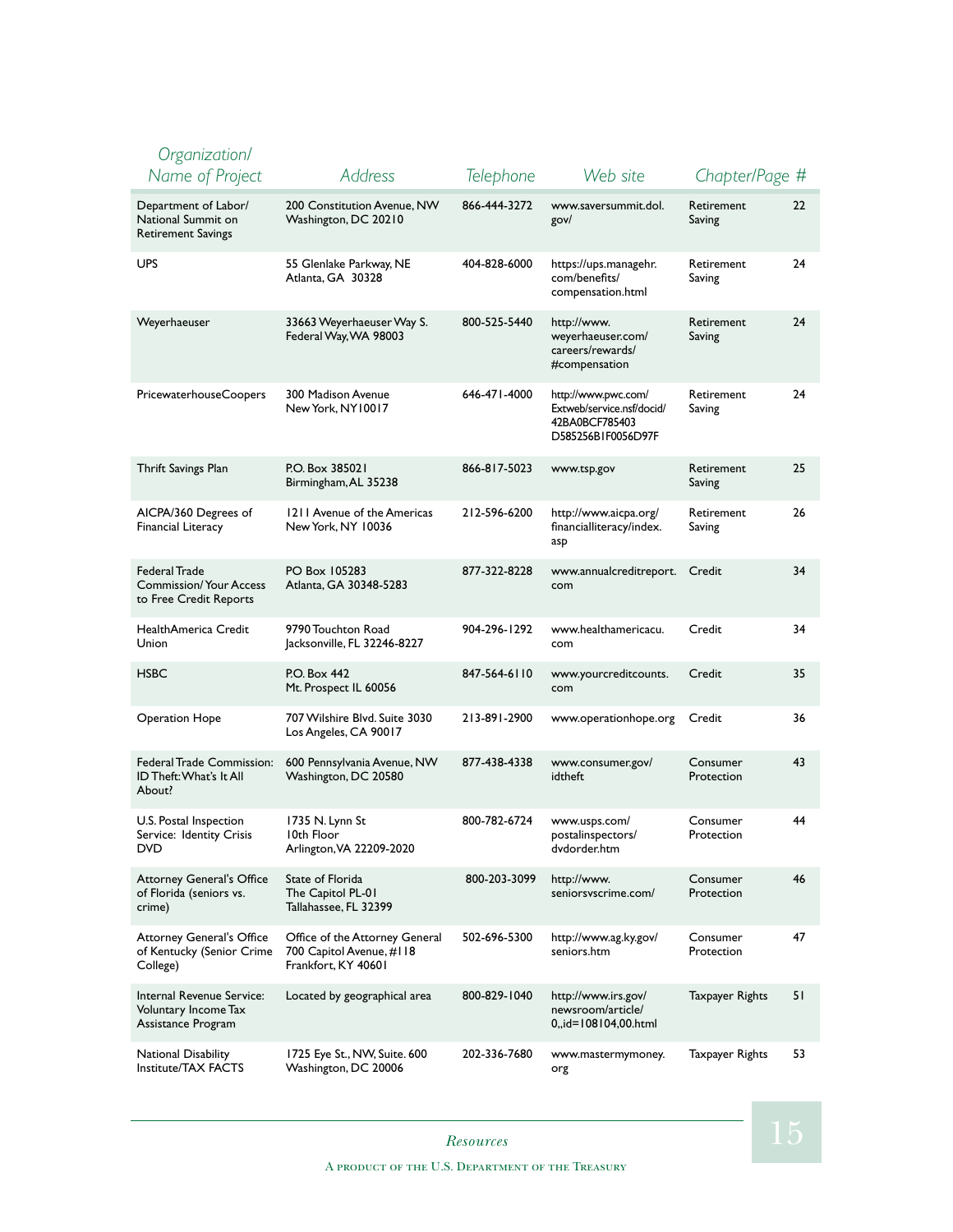#### *Organization/ Name of Project Address Telephone Web site Chapter/Page #* Department of Labor/ National Summit on Retirement Savings 200 Constitution Avenue, NW Washington, DC 20210 866-444-3272 www.saversummit.dol. gov/ Retirement Saving 22 UPS 55 Glenlake Parkway, NE Atlanta, GA 30328 404-828-6000 https://ups.managehr. com/benefits/ compensation.html Retirement Saving  $24$ Weyerhaeuser 33663 Weyerhaeuser Way S. Federal Way, WA 98003 800-525-5440 http://www. weyerhaeuser.com/ careers/rewards/ #compensation Retirement Saving  $24$ PricewaterhouseCoopers 300 Madison Avenue New York, NY10017 646-471-4000 http://www.pwc.com/ Extweb/service.nsf/docid/ 42BA0BCF785403 D585256B1F0056D97F Retirement Saving 24 Thrift Savings Plan P.O. Box 385021 Birmingham, AL 35238 866-817-5023 www.tsp.gov Retirement Saving 25 AICPA/360 Degrees of Financial Literacy 1211 Avenue of the Americas New York, NY 10036 212-596-6200 http://www.aicpa.org/ financialliteracy/index. asp Retirement Saving 26 Federal Trade Commission/ Your Access to Free Credit Reports PO Box 105283 Atlanta, GA 30348-5283 877-322-8228 www.annualcreditreport. com Credit 34 HealthAmerica Credit Union 9790 Touchton Road Jacksonville, FL 32246-8227 904-296-1292 www.healthamericacu. com Credit 34 HSBC P.O. Box 442 Mt. Prospect IL 60056 847-564-6110 www.yourcreditcounts. com Credit 35 Operation Hope 707 Wilshire Blvd. Suite 3030 Los Angeles, CA 90017 213-891-2900 www.operationhope.org Credit 36 Federal Trade Commission: ID Theft: What's It All About? 600 Pennsylvania Avenue, NW Washington, DC 20580 877-438-4338 www.consumer.gov/ idtheft Consumer Protection 43 U.S. Postal Inspection Service: Identity Crisis DVD 1735 N. Lynn St 10th Floor Arlington, VA 22209-2020 800-782-6724 www.usps.com/ postalinspectors/ dvdorder.htm Consumer Protection 44 Attorney General's Office of Florida (seniors vs. crime) State of Florida The Capitol PL-01 Tallahassee, FL 32399 800-203-3099 http://www. seniorsvscrime.com/ Consumer Protection 46 Attorney General's Office of Kentucky (Senior Crime College) Office of the Attorney General 700 Capitol Avenue, #118 Frankfort, KY 40601 502-696-5300 http://www.ag.ky.gov/ seniors.htm Consumer Protection 47 Internal Revenue Service: Voluntary Income Tax Assistance Program Located by geographical area 800-829-1040 http://www.irs.gov/ newsroom/article/ 0,,id=108104,00.html Taxpayer Rights 51 National Disability Institute/TAX FACTS 1725 Eye St., NW, Suite. 600 Washington, DC 20006 202-336-7680 www.mastermymoney. org Taxpayer Rights 53

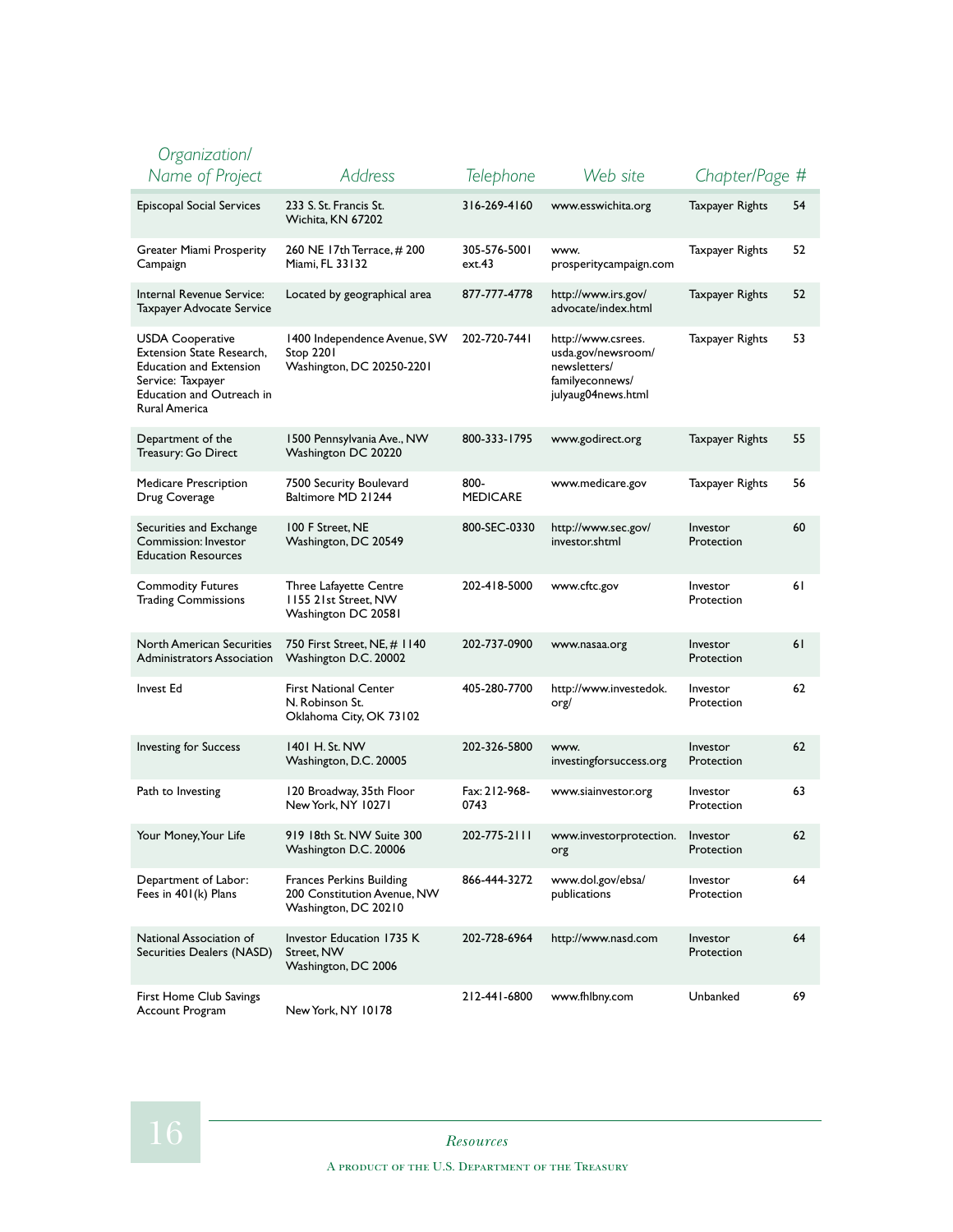| Organization/                                                                                                                                             |                                                                                        |                         |                                                                                                   |                        |    |
|-----------------------------------------------------------------------------------------------------------------------------------------------------------|----------------------------------------------------------------------------------------|-------------------------|---------------------------------------------------------------------------------------------------|------------------------|----|
| Name of Project                                                                                                                                           | Address                                                                                | Telephone               | Web site                                                                                          | Chapter/Page #         |    |
| Episcopal Social Services                                                                                                                                 | 233 S. St. Francis St.<br>Wichita, KN 67202                                            | 316-269-4160            | www.esswichita.org                                                                                | Taxpayer Rights        | 54 |
| Greater Miami Prosperity<br>Campaign                                                                                                                      | 260 NE 17th Terrace, #200<br>Miami, FL 33132                                           | 305-576-5001<br>ext.43  | www.<br>prosperitycampaign.com                                                                    | Taxpayer Rights        | 52 |
| Internal Revenue Service:<br>Taxpayer Advocate Service                                                                                                    | Located by geographical area                                                           | 877-777-4778            | http://www.irs.gov/<br>advocate/index.html                                                        | <b>Taxpayer Rights</b> | 52 |
| USDA Cooperative<br><b>Extension State Research,</b><br><b>Education and Extension</b><br>Service: Taxpayer<br>Education and Outreach in<br>Rural America | 1400 Independence Avenue, SW<br><b>Stop 2201</b><br>Washington, DC 20250-2201          | 202-720-7441            | http://www.csrees.<br>usda.gov/newsroom/<br>newsletters/<br>familyeconnews/<br>julyaug04news.html | Taxpayer Rights        | 53 |
| Department of the<br>Treasury: Go Direct                                                                                                                  | 1500 Pennsylvania Ave., NW<br>Washington DC 20220                                      | 800-333-1795            | www.godirect.org                                                                                  | Taxpayer Rights        | 55 |
| Medicare Prescription<br>Drug Coverage                                                                                                                    | 7500 Security Boulevard<br>Baltimore MD 21244                                          | 800-<br><b>MEDICARE</b> | www.medicare.gov                                                                                  | Taxpayer Rights        | 56 |
| Securities and Exchange<br>Commission: Investor<br><b>Education Resources</b>                                                                             | 100 F Street, NE<br>Washington, DC 20549                                               | 800-SEC-0330            | http://www.sec.gov/<br>investor.shtml                                                             | Investor<br>Protection | 60 |
| <b>Commodity Futures</b><br><b>Trading Commissions</b>                                                                                                    | Three Lafayette Centre<br>1155 21st Street, NW<br>Washington DC 20581                  | 202-418-5000            | www.cftc.gov                                                                                      | Investor<br>Protection | 61 |
| <b>North American Securities</b><br><b>Administrators Association</b>                                                                                     | 750 First Street, NE, # 1140<br>Washington D.C. 20002                                  | 202-737-0900            | www.nasaa.org                                                                                     | Investor<br>Protection | 61 |
| <b>Invest Ed</b>                                                                                                                                          | <b>First National Center</b><br>N. Robinson St.<br>Oklahoma City, OK 73102             | 405-280-7700            | http://www.investedok.<br>org/                                                                    | Investor<br>Protection | 62 |
| <b>Investing for Success</b>                                                                                                                              | 1401 H. St. NW<br>Washington, D.C. 20005                                               | 202-326-5800            | www.<br>investingforsuccess.org                                                                   | Investor<br>Protection | 62 |
| Path to Investing                                                                                                                                         | 120 Broadway, 35th Floor<br>New York, NY 10271                                         | Fax: 212-968-<br>0743   | www.siainvestor.org                                                                               | Investor<br>Protection | 63 |
| Your Money, Your Life                                                                                                                                     | 919 18th St. NW Suite 300<br>Washington D.C. 20006                                     | 202-775-2111            | www.investorprotection.<br>org                                                                    | Investor<br>Protection | 62 |
| Department of Labor:<br>Fees in 401(k) Plans                                                                                                              | <b>Frances Perkins Building</b><br>200 Constitution Avenue, NW<br>Washington, DC 20210 | 866-444-3272            | www.dol.gov/ebsa/<br>publications                                                                 | Investor<br>Protection | 64 |
| National Association of<br>Securities Dealers (NASD)                                                                                                      | Investor Education 1735 K<br>Street, NW<br>Washington, DC 2006                         | 202-728-6964            | http://www.nasd.com                                                                               | Investor<br>Protection | 64 |
| First Home Club Savings<br>Account Program                                                                                                                | New York, NY 10178                                                                     | 212-441-6800            | www.fhlbny.com                                                                                    | Unbanked               | 69 |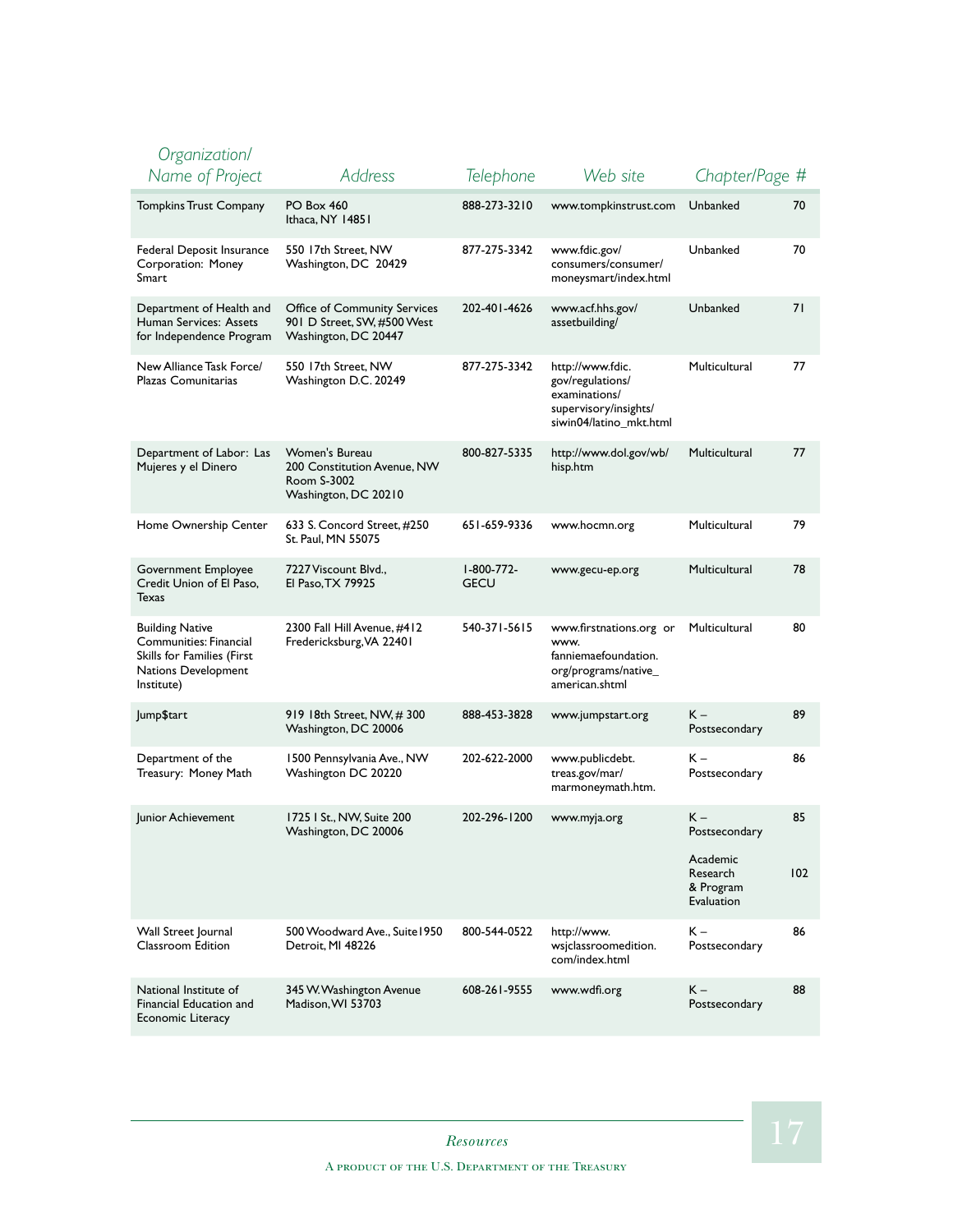| Organization/                                                                                                       |                                                                                      |                           |                                                                                                           |                                                           |           |
|---------------------------------------------------------------------------------------------------------------------|--------------------------------------------------------------------------------------|---------------------------|-----------------------------------------------------------------------------------------------------------|-----------------------------------------------------------|-----------|
| Name of Project                                                                                                     | <b>Address</b>                                                                       | Telephone                 | Web site                                                                                                  | Chapter/Page #                                            |           |
| <b>Tompkins Trust Company</b>                                                                                       | PO Box 460<br>Ithaca, NY 14851                                                       | 888-273-3210              | www.tompkinstrust.com                                                                                     | Unbanked                                                  | 70        |
| Federal Deposit Insurance<br>Corporation: Money<br>Smart                                                            | 550 17th Street, NW<br>Washington, DC 20429                                          | 877-275-3342              | www.fdic.gov/<br>consumers/consumer/<br>moneysmart/index.html                                             | Unbanked                                                  | 70        |
| Department of Health and<br>Human Services: Assets<br>for Independence Program                                      | Office of Community Services<br>901 D Street, SW, #500 West<br>Washington, DC 20447  | 202-401-4626              | www.acf.hhs.gov/<br>assetbuilding/                                                                        | Unbanked                                                  | 71        |
| New Alliance Task Force/<br>Plazas Comunitarias                                                                     | 550 17th Street, NW<br>Washington D.C. 20249                                         | 877-275-3342              | http://www.fdic.<br>gov/regulations/<br>examinations/<br>supervisory/insights/<br>siwin04/latino_mkt.html | Multicultural                                             | 77        |
| Department of Labor: Las<br>Mujeres y el Dinero                                                                     | Women's Bureau<br>200 Constitution Avenue, NW<br>Room S-3002<br>Washington, DC 20210 | 800-827-5335              | http://www.dol.gov/wb/<br>hisp.htm                                                                        | Multicultural                                             | 77        |
| Home Ownership Center                                                                                               | 633 S. Concord Street, #250<br>St. Paul, MN 55075                                    | 651-659-9336              | www.hocmn.org                                                                                             | Multicultural                                             | 79        |
| Government Employee<br>Credit Union of El Paso,<br>Texas                                                            | 7227 Viscount Blvd.,<br>El Paso, TX 79925                                            | I-800-772-<br><b>GECU</b> | www.gecu-ep.org                                                                                           | Multicultural                                             | 78        |
| <b>Building Native</b><br>Communities: Financial<br>Skills for Families (First<br>Nations Development<br>Institute) | 2300 Fall Hill Avenue, #412<br>Fredericksburg, VA 22401                              | 540-371-5615              | www.firstnations.org or<br>www.<br>fanniemaefoundation.<br>org/programs/native<br>american.shtml          | Multicultural                                             | 80        |
| Jump\$tart                                                                                                          | 919 18th Street, NW, #300<br>Washington, DC 20006                                    | 888-453-3828              | www.jumpstart.org                                                                                         | K –<br>Postsecondary                                      | 89        |
| Department of the<br>Treasury: Money Math                                                                           | 1500 Pennsylvania Ave., NW<br>Washington DC 20220                                    | 202-622-2000              | www.publicdebt.<br>treas.gov/mar/<br>marmoneymath.htm.                                                    | $K -$<br>Postsecondary                                    | 86        |
| Junior Achievement                                                                                                  | 1725 I St., NW, Suite 200<br>Washington, DC 20006                                    | 202-296-1200              | www.myja.org                                                                                              | K –<br>Postsecondary<br>Academic<br>Research<br>& Program | 85<br>102 |
|                                                                                                                     |                                                                                      |                           |                                                                                                           | Evaluation                                                |           |
| Wall Street Journal<br>Classroom Edition                                                                            | 500 Woodward Ave., Suite 1950<br>Detroit, MI 48226                                   | 800-544-0522              | http://www.<br>wsjclassroomedition.<br>com/index.html                                                     | К –<br>Postsecondary                                      | 86        |
| National Institute of<br>Financial Education and<br><b>Economic Literacy</b>                                        | 345 W. Washington Avenue<br>Madison, WI 53703                                        | 608-261-9555              | www.wdfi.org                                                                                              | $K -$<br>Postsecondary                                    | 88        |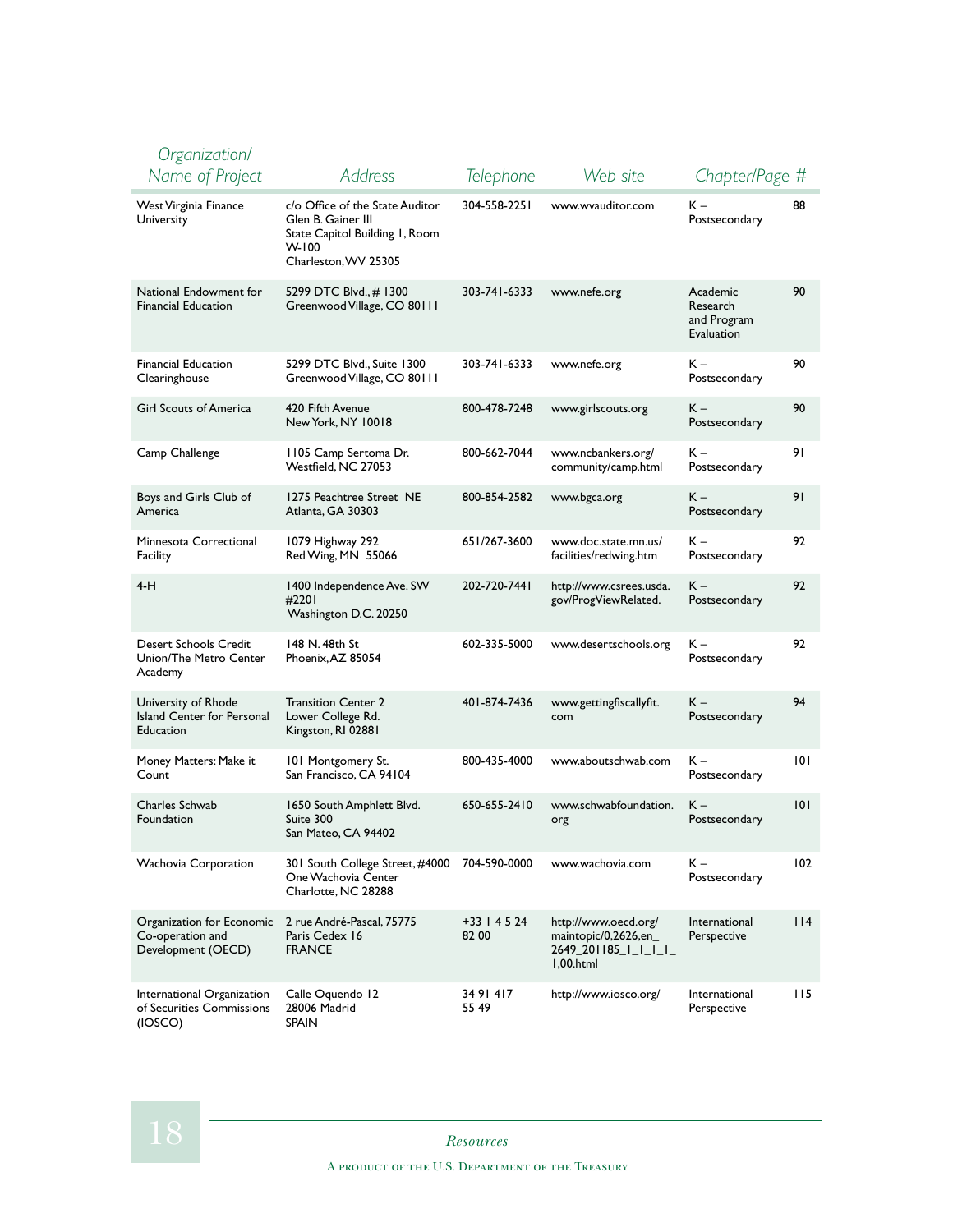| Organization/<br>Name of Project                                    | Address                                                                                                                    | Telephone            | Web site                                                                          | Chapter/Page #                                    |     |
|---------------------------------------------------------------------|----------------------------------------------------------------------------------------------------------------------------|----------------------|-----------------------------------------------------------------------------------|---------------------------------------------------|-----|
| <b>West Virginia Finance</b><br>University                          | c/o Office of the State Auditor<br>Glen B. Gainer III<br>State Capitol Building 1, Room<br>$W-100$<br>Charleston, WV 25305 | 304-558-2251         | www.wvauditor.com                                                                 | К –<br>Postsecondary                              | 88  |
| National Endowment for<br><b>Financial Education</b>                | 5299 DTC Blvd., # 1300<br>Greenwood Village, CO 80111                                                                      | 303-741-6333         | www.nefe.org                                                                      | Academic<br>Research<br>and Program<br>Evaluation | 90  |
| <b>Financial Education</b><br>Clearinghouse                         | 5299 DTC Blvd., Suite 1300<br>Greenwood Village, CO 80111                                                                  | 303-741-6333         | www.nefe.org                                                                      | к –<br>Postsecondary                              | 90  |
| <b>Girl Scouts of America</b>                                       | 420 Fifth Avenue<br>New York, NY 10018                                                                                     | 800-478-7248         | www.girlscouts.org                                                                | K –<br>Postsecondary                              | 90  |
| Camp Challenge                                                      | 1105 Camp Sertoma Dr.<br>Westfield, NC 27053                                                                               | 800-662-7044         | www.ncbankers.org/<br>community/camp.html                                         | К –<br>Postsecondary                              | 91  |
| Boys and Girls Club of<br>America                                   | 1275 Peachtree Street NE<br>Atlanta, GA 30303                                                                              | 800-854-2582         | www.bgca.org                                                                      | K –<br>Postsecondary                              | 91  |
| Minnesota Correctional<br>Facility                                  | 1079 Highway 292<br>Red Wing, MN 55066                                                                                     | 651/267-3600         | www.doc.state.mn.us/<br>facilities/redwing.htm                                    | К –<br>Postsecondary                              | 92  |
| $4-H$                                                               | 1400 Independence Ave. SW<br>#2201<br>Washington D.C. 20250                                                                | 202-720-7441         | http://www.csrees.usda.<br>gov/ProgViewRelated.                                   | К –<br>Postsecondary                              | 92  |
| Desert Schools Credit<br>Union/The Metro Center<br>Academy          | 148 N. 48th St<br>Phoenix, AZ 85054                                                                                        | 602-335-5000         | www.desertschools.org                                                             | К –<br>Postsecondary                              | 92  |
| University of Rhode<br>Island Center for Personal<br>Education      | <b>Transition Center 2</b><br>Lower College Rd.<br>Kingston, RI 02881                                                      | 401-874-7436         | www.gettingfiscallyfit.<br>com                                                    | K –<br>Postsecondary                              | 94  |
| Money Matters: Make it<br>Count                                     | 101 Montgomery St.<br>San Francisco, CA 94104                                                                              | 800-435-4000         | www.aboutschwab.com                                                               | К –<br>Postsecondary                              | 0   |
| Charles Schwab<br>Foundation                                        | 1650 South Amphlett Blvd.<br>Suite 300<br>San Mateo, CA 94402                                                              | 650-655-2410         | www.schwabfoundation.<br>org                                                      | K –<br>Postsecondary                              | 0   |
| Wachovia Corporation                                                | 301 South College Street, #4000<br>One Wachovia Center<br>Charlotte, NC 28288                                              | 704-590-0000         | www.wachovia.com                                                                  | K –<br>Postsecondary                              | 102 |
| Organization for Economic<br>Co-operation and<br>Development (OECD) | 2 rue André-Pascal, 75775<br>Paris Cedex 16<br><b>FRANCE</b>                                                               | +33   45 24<br>82 00 | http://www.oecd.org/<br>maintopic/0,2626,en_<br>2649_201185_I_I_I_I_<br>1,00.html | International<br>Perspective                      | 114 |
| International Organization<br>of Securities Commissions<br>(IOSCO)  | Calle Oquendo 12<br>28006 Madrid<br><b>SPAIN</b>                                                                           | 34 91 417<br>55 49   | http://www.iosco.org/                                                             | International<br>Perspective                      | 115 |